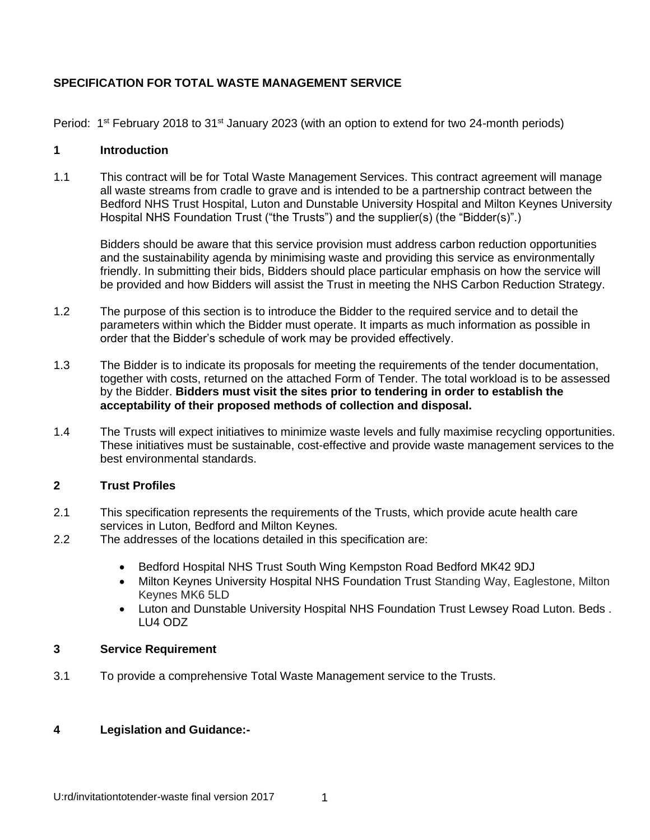### **SPECIFICATION FOR TOTAL WASTE MANAGEMENT SERVICE**

Period:  $1^{st}$  February 2018 to 31 $st$  January 2023 (with an option to extend for two 24-month periods)

#### **1 Introduction**

1.1 This contract will be for Total Waste Management Services. This contract agreement will manage all waste streams from cradle to grave and is intended to be a partnership contract between the Bedford NHS Trust Hospital, Luton and Dunstable University Hospital and Milton Keynes University Hospital NHS Foundation Trust ("the Trusts") and the supplier(s) (the "Bidder(s)".)

Bidders should be aware that this service provision must address carbon reduction opportunities and the sustainability agenda by minimising waste and providing this service as environmentally friendly. In submitting their bids, Bidders should place particular emphasis on how the service will be provided and how Bidders will assist the Trust in meeting the NHS Carbon Reduction Strategy.

- 1.2 The purpose of this section is to introduce the Bidder to the required service and to detail the parameters within which the Bidder must operate. It imparts as much information as possible in order that the Bidder's schedule of work may be provided effectively.
- 1.3 The Bidder is to indicate its proposals for meeting the requirements of the tender documentation, together with costs, returned on the attached Form of Tender. The total workload is to be assessed by the Bidder. **Bidders must visit the sites prior to tendering in order to establish the acceptability of their proposed methods of collection and disposal.**
- 1.4 The Trusts will expect initiatives to minimize waste levels and fully maximise recycling opportunities. These initiatives must be sustainable, cost-effective and provide waste management services to the best environmental standards.

#### **2 Trust Profiles**

- 2.1 This specification represents the requirements of the Trusts, which provide acute health care services in Luton, Bedford and Milton Keynes.
- 2.2 The addresses of the locations detailed in this specification are:
	- Bedford Hospital NHS Trust South Wing Kempston Road Bedford MK42 9DJ
	- Milton Keynes University Hospital NHS Foundation Trust Standing Way, Eaglestone, Milton Keynes MK6 5LD
	- Luton and Dunstable University Hospital NHS Foundation Trust Lewsey Road Luton. Beds . LU4 ODZ

#### **3 Service Requirement**

3.1 To provide a comprehensive Total Waste Management service to the Trusts.

#### **4 Legislation and Guidance:-**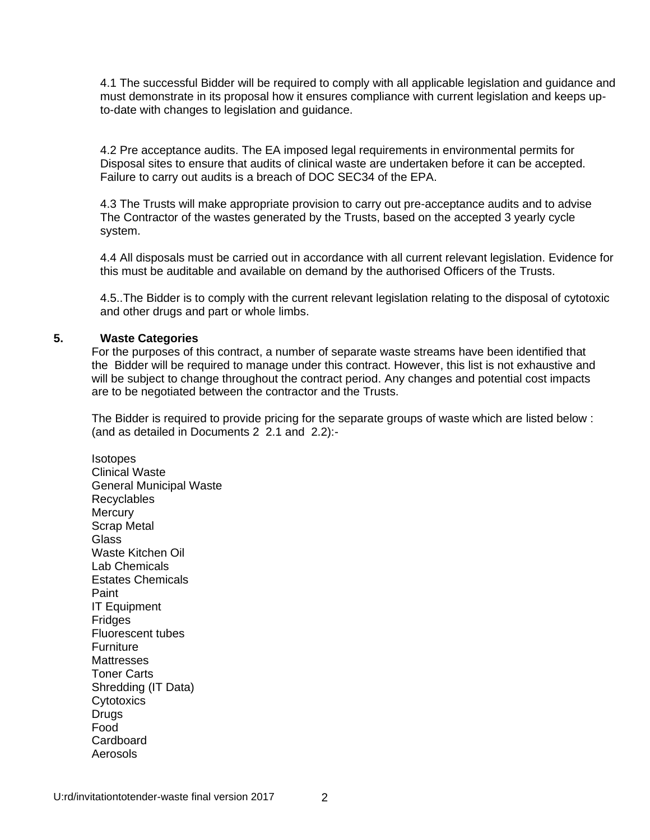4.1 The successful Bidder will be required to comply with all applicable legislation and guidance and must demonstrate in its proposal how it ensures compliance with current legislation and keeps upto-date with changes to legislation and guidance.

4.2 Pre acceptance audits. The EA imposed legal requirements in environmental permits for Disposal sites to ensure that audits of clinical waste are undertaken before it can be accepted. Failure to carry out audits is a breach of DOC SEC34 of the EPA.

4.3 The Trusts will make appropriate provision to carry out pre-acceptance audits and to advise The Contractor of the wastes generated by the Trusts, based on the accepted 3 yearly cycle system.

4.4 All disposals must be carried out in accordance with all current relevant legislation. Evidence for this must be auditable and available on demand by the authorised Officers of the Trusts.

4.5..The Bidder is to comply with the current relevant legislation relating to the disposal of cytotoxic and other drugs and part or whole limbs.

#### **5. Waste Categories**

For the purposes of this contract, a number of separate waste streams have been identified that the Bidder will be required to manage under this contract. However, this list is not exhaustive and will be subject to change throughout the contract period. Any changes and potential cost impacts are to be negotiated between the contractor and the Trusts.

The Bidder is required to provide pricing for the separate groups of waste which are listed below : (and as detailed in Documents 2 2.1 and 2.2):-

**Isotopes** Clinical Waste General Municipal Waste Recyclables **Mercury** Scrap Metal Glass Waste Kitchen Oil Lab Chemicals Estates Chemicals Paint IT Equipment **Fridges** Fluorescent tubes **Furniture Mattresses** Toner Carts Shredding (IT Data) **Cytotoxics** Drugs Food Cardboard Aerosols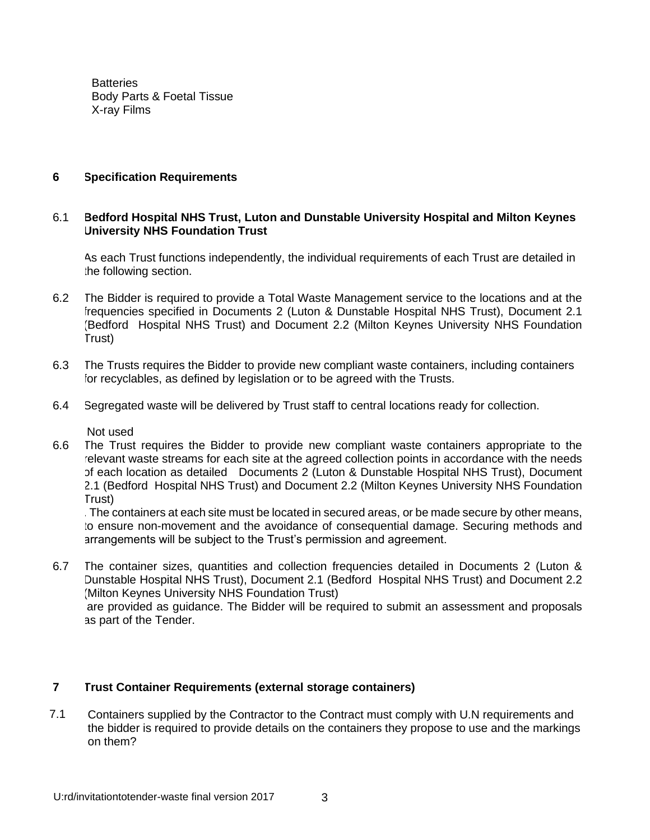**Batteries** Body Parts & Foetal Tissue X-ray Films

#### **6 Specification Requirements**

#### 6.1 **Bedford Hospital NHS Trust, Luton and Dunstable University Hospital and Milton Keynes University NHS Foundation Trust**

As each Trust functions independently, the individual requirements of each Trust are detailed in the following section.

- 6.2 The Bidder is required to provide a Total Waste Management service to the locations and at the frequencies specified in Documents 2 (Luton & Dunstable Hospital NHS Trust), Document 2.1 (Bedford Hospital NHS Trust) and Document 2.2 (Milton Keynes University NHS Foundation Trust)
- 6.3 The Trusts requires the Bidder to provide new compliant waste containers, including containers for recyclables, as defined by legislation or to be agreed with the Trusts.
- 6.4 Segregated waste will be delivered by Trust staff to central locations ready for collection.

Not used

 6.6 The Trust requires the Bidder to provide new compliant waste containers appropriate to the relevant waste streams for each site at the agreed collection points in accordance with the needs of each location as detailed Documents 2 (Luton & Dunstable Hospital NHS Trust), Document 2.1 (Bedford Hospital NHS Trust) and Document 2.2 (Milton Keynes University NHS Foundation Trust)

. The containers at each site must be located in secured areas, or be made secure by other means, to ensure non-movement and the avoidance of consequential damage. Securing methods and arrangements will be subject to the Trust's permission and agreement.

 6.7 The container sizes, quantities and collection frequencies detailed in Documents 2 (Luton & Dunstable Hospital NHS Trust), Document 2.1 (Bedford Hospital NHS Trust) and Document 2.2 (Milton Keynes University NHS Foundation Trust) are provided as guidance. The Bidder will be required to submit an assessment and proposals as part of the Tender.

#### **7 Trust Container Requirements (external storage containers)**

7.1 • Containers supplied by the Contractor to the Contract must comply with U.N requirements and the bidder is required to provide details on the containers they propose to use and the markings on them?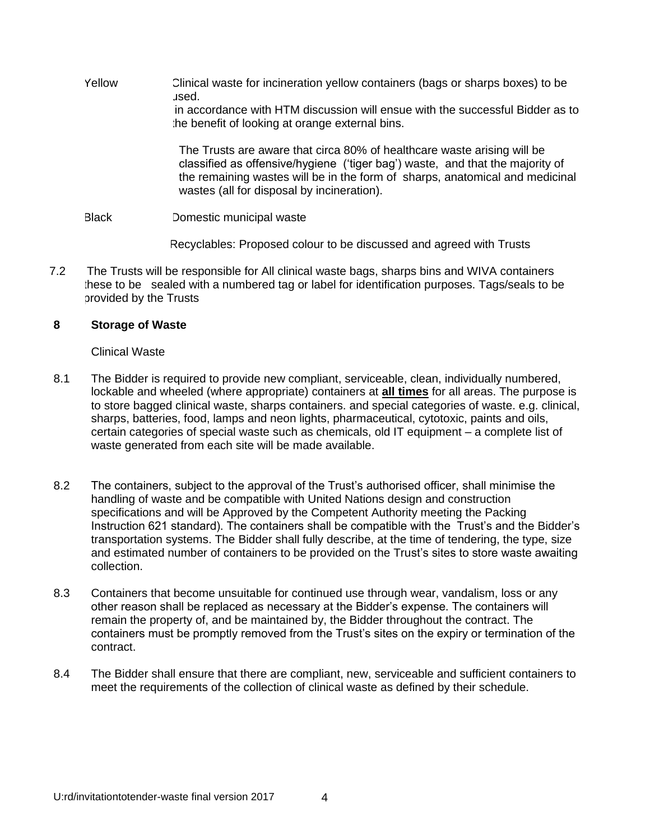Yellow Clinical waste for incineration yellow containers (bags or sharps boxes) to be used. in accordance with HTM discussion will ensue with the successful Bidder as to the benefit of looking at orange external bins.

> The Trusts are aware that circa 80% of healthcare waste arising will be classified as offensive/hygiene ('tiger bag') waste, and that the majority of the remaining wastes will be in the form of sharps, anatomical and medicinal wastes (all for disposal by incineration).

Black Domestic municipal waste

Recyclables: Proposed colour to be discussed and agreed with Trusts

7.2 The Trusts will be responsible for All clinical waste bags, sharps bins and WIVA containers these to be sealed with a numbered tag or label for identification purposes. Tags/seals to be provided by the Trusts

#### **8 Storage of Waste**

Clinical Waste

- 8.1 The Bidder is required to provide new compliant, serviceable, clean, individually numbered, lockable and wheeled (where appropriate) containers at **all times** for all areas. The purpose is to store bagged clinical waste, sharps containers. and special categories of waste. e.g. clinical, sharps, batteries, food, lamps and neon lights, pharmaceutical, cytotoxic, paints and oils, certain categories of special waste such as chemicals, old IT equipment – a complete list of waste generated from each site will be made available.
- 8.2 The containers, subject to the approval of the Trust's authorised officer, shall minimise the handling of waste and be compatible with United Nations design and construction specifications and will be Approved by the Competent Authority meeting the Packing Instruction 621 standard). The containers shall be compatible with the Trust's and the Bidder's transportation systems. The Bidder shall fully describe, at the time of tendering, the type, size and estimated number of containers to be provided on the Trust's sites to store waste awaiting collection.
- 8.3 Containers that become unsuitable for continued use through wear, vandalism, loss or any other reason shall be replaced as necessary at the Bidder's expense. The containers will remain the property of, and be maintained by, the Bidder throughout the contract. The containers must be promptly removed from the Trust's sites on the expiry or termination of the contract.
- 8.4 The Bidder shall ensure that there are compliant, new, serviceable and sufficient containers to meet the requirements of the collection of clinical waste as defined by their schedule.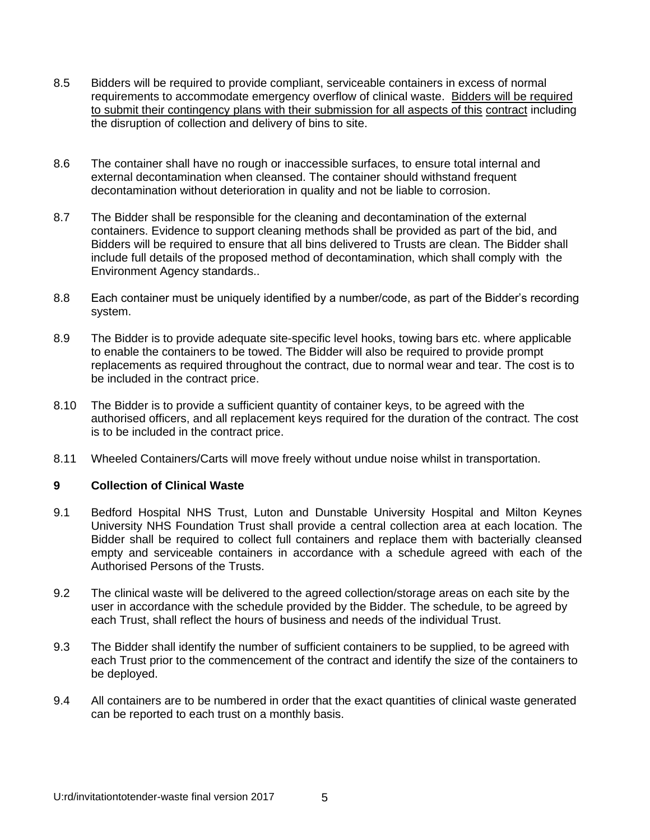- 8.5 Bidders will be required to provide compliant, serviceable containers in excess of normal requirements to accommodate emergency overflow of clinical waste. Bidders will be required to submit their contingency plans with their submission for all aspects of this contract including the disruption of collection and delivery of bins to site.
- 8.6 The container shall have no rough or inaccessible surfaces, to ensure total internal and external decontamination when cleansed. The container should withstand frequent decontamination without deterioration in quality and not be liable to corrosion.
- 8.7 The Bidder shall be responsible for the cleaning and decontamination of the external containers. Evidence to support cleaning methods shall be provided as part of the bid, and Bidders will be required to ensure that all bins delivered to Trusts are clean. The Bidder shall include full details of the proposed method of decontamination, which shall comply with the Environment Agency standards..
- 8.8 Each container must be uniquely identified by a number/code, as part of the Bidder's recording system.
- 8.9 The Bidder is to provide adequate site-specific level hooks, towing bars etc. where applicable to enable the containers to be towed. The Bidder will also be required to provide prompt replacements as required throughout the contract, due to normal wear and tear. The cost is to be included in the contract price.
- 8.10 The Bidder is to provide a sufficient quantity of container keys, to be agreed with the authorised officers, and all replacement keys required for the duration of the contract. The cost is to be included in the contract price.
- 8.11 Wheeled Containers/Carts will move freely without undue noise whilst in transportation.

#### **9 Collection of Clinical Waste**

- 9.1 Bedford Hospital NHS Trust, Luton and Dunstable University Hospital and Milton Keynes University NHS Foundation Trust shall provide a central collection area at each location. The Bidder shall be required to collect full containers and replace them with bacterially cleansed empty and serviceable containers in accordance with a schedule agreed with each of the Authorised Persons of the Trusts.
- 9.2 The clinical waste will be delivered to the agreed collection/storage areas on each site by the user in accordance with the schedule provided by the Bidder. The schedule, to be agreed by each Trust, shall reflect the hours of business and needs of the individual Trust.
- 9.3 The Bidder shall identify the number of sufficient containers to be supplied, to be agreed with each Trust prior to the commencement of the contract and identify the size of the containers to be deployed.
- 9.4 All containers are to be numbered in order that the exact quantities of clinical waste generated can be reported to each trust on a monthly basis.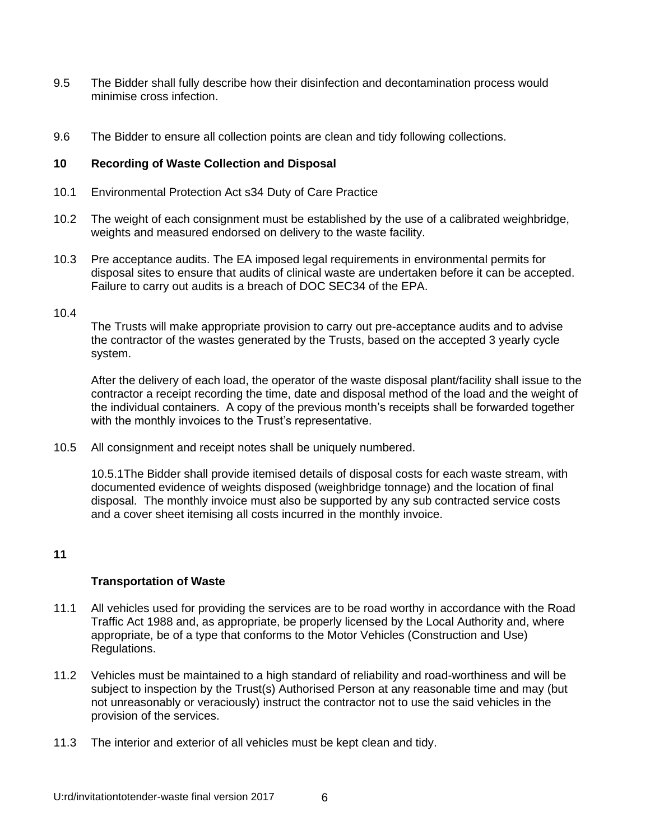- 9.5 The Bidder shall fully describe how their disinfection and decontamination process would minimise cross infection.
- 9.6 The Bidder to ensure all collection points are clean and tidy following collections.

#### **10 Recording of Waste Collection and Disposal**

- 10.1 Environmental Protection Act s34 Duty of Care Practice
- 10.2 The weight of each consignment must be established by the use of a calibrated weighbridge, weights and measured endorsed on delivery to the waste facility.
- 10.3 Pre acceptance audits. The EA imposed legal requirements in environmental permits for disposal sites to ensure that audits of clinical waste are undertaken before it can be accepted. Failure to carry out audits is a breach of DOC SEC34 of the EPA.

#### 10.4

The Trusts will make appropriate provision to carry out pre-acceptance audits and to advise the contractor of the wastes generated by the Trusts, based on the accepted 3 yearly cycle system.

After the delivery of each load, the operator of the waste disposal plant/facility shall issue to the contractor a receipt recording the time, date and disposal method of the load and the weight of the individual containers. A copy of the previous month's receipts shall be forwarded together with the monthly invoices to the Trust's representative.

10.5 All consignment and receipt notes shall be uniquely numbered.

10.5.1The Bidder shall provide itemised details of disposal costs for each waste stream, with documented evidence of weights disposed (weighbridge tonnage) and the location of final disposal. The monthly invoice must also be supported by any sub contracted service costs and a cover sheet itemising all costs incurred in the monthly invoice.

#### **11**

#### **Transportation of Waste**

- 11.1 All vehicles used for providing the services are to be road worthy in accordance with the Road Traffic Act 1988 and, as appropriate, be properly licensed by the Local Authority and, where appropriate, be of a type that conforms to the Motor Vehicles (Construction and Use) Regulations.
- 11.2 Vehicles must be maintained to a high standard of reliability and road-worthiness and will be subject to inspection by the Trust(s) Authorised Person at any reasonable time and may (but not unreasonably or veraciously) instruct the contractor not to use the said vehicles in the provision of the services.
- 11.3 The interior and exterior of all vehicles must be kept clean and tidy.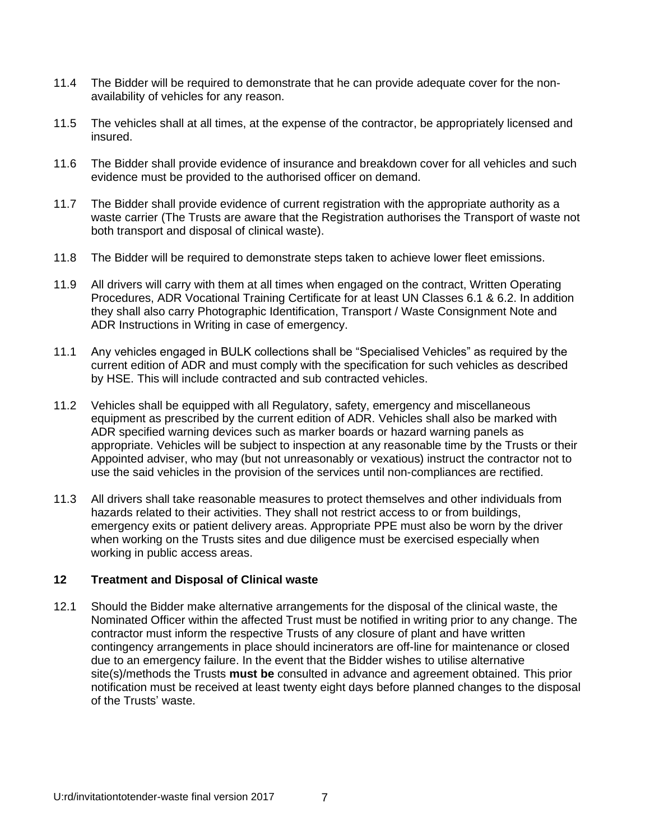- 11.4 The Bidder will be required to demonstrate that he can provide adequate cover for the nonavailability of vehicles for any reason.
- 11.5 The vehicles shall at all times, at the expense of the contractor, be appropriately licensed and insured.
- 11.6 The Bidder shall provide evidence of insurance and breakdown cover for all vehicles and such evidence must be provided to the authorised officer on demand.
- 11.7 The Bidder shall provide evidence of current registration with the appropriate authority as a waste carrier (The Trusts are aware that the Registration authorises the Transport of waste not both transport and disposal of clinical waste).
- 11.8 The Bidder will be required to demonstrate steps taken to achieve lower fleet emissions.
- 11.9 All drivers will carry with them at all times when engaged on the contract, Written Operating Procedures, ADR Vocational Training Certificate for at least UN Classes 6.1 & 6.2. In addition they shall also carry Photographic Identification, Transport / Waste Consignment Note and ADR Instructions in Writing in case of emergency.
- 11.1 Any vehicles engaged in BULK collections shall be "Specialised Vehicles" as required by the current edition of ADR and must comply with the specification for such vehicles as described by HSE. This will include contracted and sub contracted vehicles.
- 11.2 Vehicles shall be equipped with all Regulatory, safety, emergency and miscellaneous equipment as prescribed by the current edition of ADR. Vehicles shall also be marked with ADR specified warning devices such as marker boards or hazard warning panels as appropriate. Vehicles will be subject to inspection at any reasonable time by the Trusts or their Appointed adviser, who may (but not unreasonably or vexatious) instruct the contractor not to use the said vehicles in the provision of the services until non-compliances are rectified.
- 11.3 All drivers shall take reasonable measures to protect themselves and other individuals from hazards related to their activities. They shall not restrict access to or from buildings, emergency exits or patient delivery areas. Appropriate PPE must also be worn by the driver when working on the Trusts sites and due diligence must be exercised especially when working in public access areas.

#### **12 Treatment and Disposal of Clinical waste**

12.1 Should the Bidder make alternative arrangements for the disposal of the clinical waste, the Nominated Officer within the affected Trust must be notified in writing prior to any change. The contractor must inform the respective Trusts of any closure of plant and have written contingency arrangements in place should incinerators are off-line for maintenance or closed due to an emergency failure. In the event that the Bidder wishes to utilise alternative site(s)/methods the Trusts **must be** consulted in advance and agreement obtained. This prior notification must be received at least twenty eight days before planned changes to the disposal of the Trusts' waste.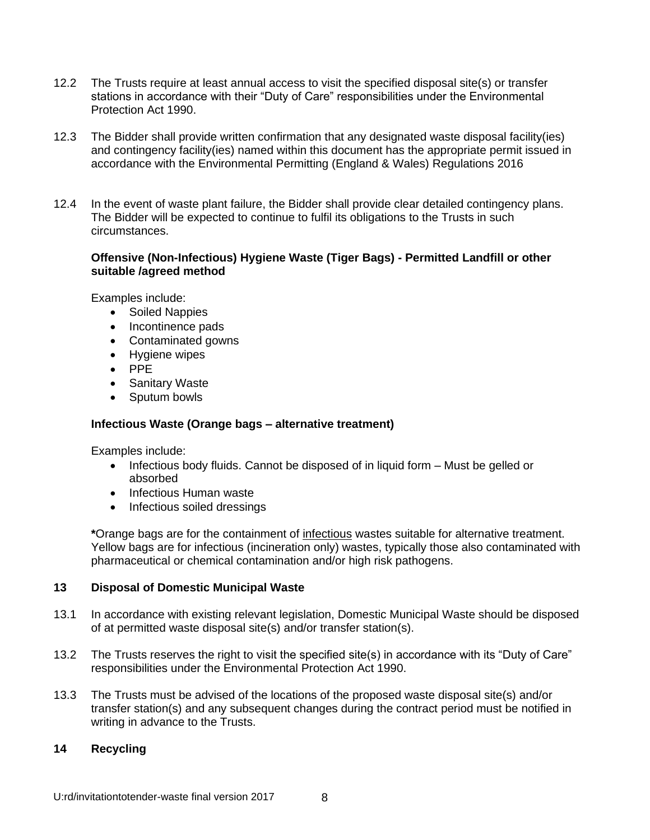- 12.2 The Trusts require at least annual access to visit the specified disposal site(s) or transfer stations in accordance with their "Duty of Care" responsibilities under the Environmental Protection Act 1990.
- 12.3 The Bidder shall provide written confirmation that any designated waste disposal facility(ies) and contingency facility(ies) named within this document has the appropriate permit issued in accordance with the Environmental Permitting (England & Wales) Regulations 2016
- 12.4 In the event of waste plant failure, the Bidder shall provide clear detailed contingency plans. The Bidder will be expected to continue to fulfil its obligations to the Trusts in such circumstances.

#### **Offensive (Non-Infectious) Hygiene Waste (Tiger Bags) - Permitted Landfill or other suitable /agreed method**

Examples include:

- Soiled Nappies
- Incontinence pads
- Contaminated gowns
- Hygiene wipes
- PPE
- Sanitary Waste
- Sputum bowls

#### **Infectious Waste (Orange bags – alternative treatment)**

Examples include:

- Infectious body fluids. Cannot be disposed of in liquid form Must be gelled or absorbed
- Infectious Human waste
- Infectious soiled dressings

**\***Orange bags are for the containment of infectious wastes suitable for alternative treatment. Yellow bags are for infectious (incineration only) wastes, typically those also contaminated with pharmaceutical or chemical contamination and/or high risk pathogens.

#### **13 Disposal of Domestic Municipal Waste**

- 13.1 In accordance with existing relevant legislation, Domestic Municipal Waste should be disposed of at permitted waste disposal site(s) and/or transfer station(s).
- 13.2 The Trusts reserves the right to visit the specified site(s) in accordance with its "Duty of Care" responsibilities under the Environmental Protection Act 1990.
- 13.3 The Trusts must be advised of the locations of the proposed waste disposal site(s) and/or transfer station(s) and any subsequent changes during the contract period must be notified in writing in advance to the Trusts.

#### **14 Recycling**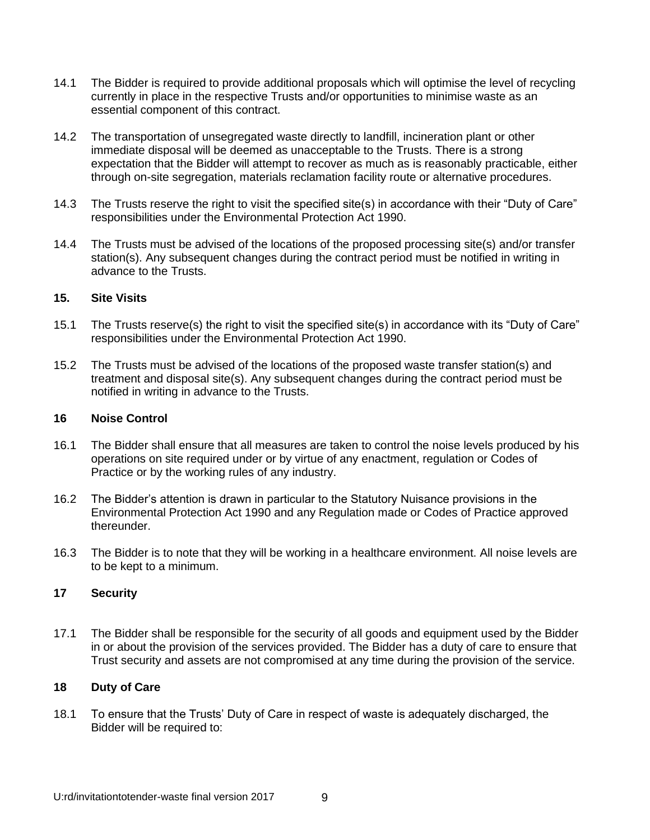- 14.1 The Bidder is required to provide additional proposals which will optimise the level of recycling currently in place in the respective Trusts and/or opportunities to minimise waste as an essential component of this contract.
- 14.2 The transportation of unsegregated waste directly to landfill, incineration plant or other immediate disposal will be deemed as unacceptable to the Trusts. There is a strong expectation that the Bidder will attempt to recover as much as is reasonably practicable, either through on-site segregation, materials reclamation facility route or alternative procedures.
- 14.3 The Trusts reserve the right to visit the specified site(s) in accordance with their "Duty of Care" responsibilities under the Environmental Protection Act 1990.
- 14.4 The Trusts must be advised of the locations of the proposed processing site(s) and/or transfer station(s). Any subsequent changes during the contract period must be notified in writing in advance to the Trusts.

#### **15. Site Visits**

- 15.1 The Trusts reserve(s) the right to visit the specified site(s) in accordance with its "Duty of Care" responsibilities under the Environmental Protection Act 1990.
- 15.2 The Trusts must be advised of the locations of the proposed waste transfer station(s) and treatment and disposal site(s). Any subsequent changes during the contract period must be notified in writing in advance to the Trusts.

#### **16 Noise Control**

- 16.1 The Bidder shall ensure that all measures are taken to control the noise levels produced by his operations on site required under or by virtue of any enactment, regulation or Codes of Practice or by the working rules of any industry.
- 16.2 The Bidder's attention is drawn in particular to the Statutory Nuisance provisions in the Environmental Protection Act 1990 and any Regulation made or Codes of Practice approved thereunder.
- 16.3 The Bidder is to note that they will be working in a healthcare environment. All noise levels are to be kept to a minimum.

#### **17 Security**

17.1 The Bidder shall be responsible for the security of all goods and equipment used by the Bidder in or about the provision of the services provided. The Bidder has a duty of care to ensure that Trust security and assets are not compromised at any time during the provision of the service.

#### **18 Duty of Care**

18.1 To ensure that the Trusts' Duty of Care in respect of waste is adequately discharged, the Bidder will be required to: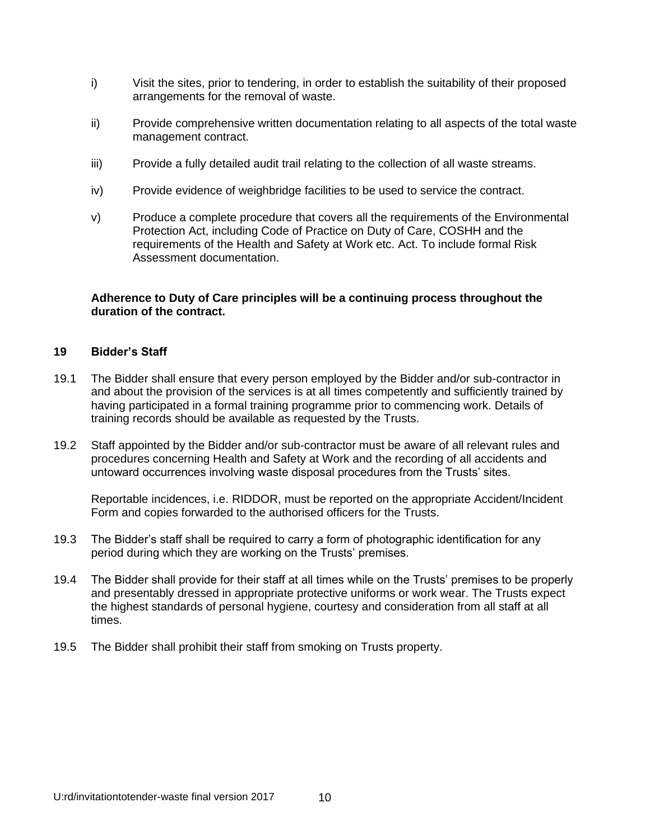- i) Visit the sites, prior to tendering, in order to establish the suitability of their proposed arrangements for the removal of waste.
- ii) Provide comprehensive written documentation relating to all aspects of the total waste management contract.
- iii) Provide a fully detailed audit trail relating to the collection of all waste streams.
- iv) Provide evidence of weighbridge facilities to be used to service the contract.
- v) Produce a complete procedure that covers all the requirements of the Environmental Protection Act, including Code of Practice on Duty of Care, COSHH and the requirements of the Health and Safety at Work etc. Act. To include formal Risk Assessment documentation.

#### **Adherence to Duty of Care principles will be a continuing process throughout the duration of the contract.**

#### **19 Bidder's Staff**

- 19.1 The Bidder shall ensure that every person employed by the Bidder and/or sub-contractor in and about the provision of the services is at all times competently and sufficiently trained by having participated in a formal training programme prior to commencing work. Details of training records should be available as requested by the Trusts.
- 19.2 Staff appointed by the Bidder and/or sub-contractor must be aware of all relevant rules and procedures concerning Health and Safety at Work and the recording of all accidents and untoward occurrences involving waste disposal procedures from the Trusts' sites.

Reportable incidences, i.e. RIDDOR, must be reported on the appropriate Accident/Incident Form and copies forwarded to the authorised officers for the Trusts.

- 19.3 The Bidder's staff shall be required to carry a form of photographic identification for any period during which they are working on the Trusts' premises.
- 19.4 The Bidder shall provide for their staff at all times while on the Trusts' premises to be properly and presentably dressed in appropriate protective uniforms or work wear. The Trusts expect the highest standards of personal hygiene, courtesy and consideration from all staff at all times.
- 19.5 The Bidder shall prohibit their staff from smoking on Trusts property.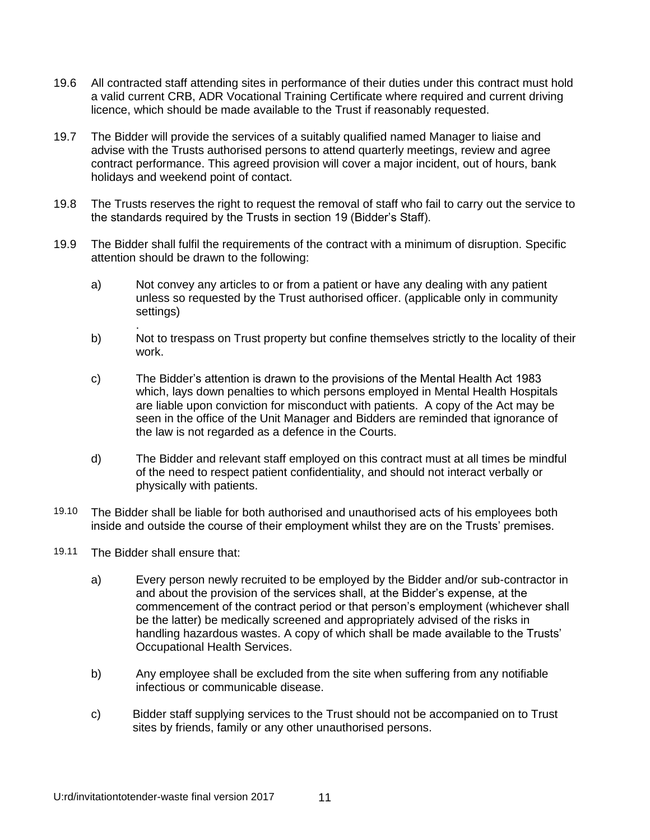- 19.6 All contracted staff attending sites in performance of their duties under this contract must hold a valid current CRB, ADR Vocational Training Certificate where required and current driving licence, which should be made available to the Trust if reasonably requested.
- 19.7 The Bidder will provide the services of a suitably qualified named Manager to liaise and advise with the Trusts authorised persons to attend quarterly meetings, review and agree contract performance. This agreed provision will cover a major incident, out of hours, bank holidays and weekend point of contact.
- 19.8 The Trusts reserves the right to request the removal of staff who fail to carry out the service to the standards required by the Trusts in section 19 (Bidder's Staff).
- 19.9 The Bidder shall fulfil the requirements of the contract with a minimum of disruption. Specific attention should be drawn to the following:
	- a) Not convey any articles to or from a patient or have any dealing with any patient unless so requested by the Trust authorised officer. (applicable only in community settings)
	- b) Not to trespass on Trust property but confine themselves strictly to the locality of their work.
	- c) The Bidder's attention is drawn to the provisions of the Mental Health Act 1983 which, lays down penalties to which persons employed in Mental Health Hospitals are liable upon conviction for misconduct with patients. A copy of the Act may be seen in the office of the Unit Manager and Bidders are reminded that ignorance of the law is not regarded as a defence in the Courts.
	- d) The Bidder and relevant staff employed on this contract must at all times be mindful of the need to respect patient confidentiality, and should not interact verbally or physically with patients.
- 19.10 The Bidder shall be liable for both authorised and unauthorised acts of his employees both inside and outside the course of their employment whilst they are on the Trusts' premises.
- 19.11 The Bidder shall ensure that:

.

- a) Every person newly recruited to be employed by the Bidder and/or sub-contractor in and about the provision of the services shall, at the Bidder's expense, at the commencement of the contract period or that person's employment (whichever shall be the latter) be medically screened and appropriately advised of the risks in handling hazardous wastes. A copy of which shall be made available to the Trusts' Occupational Health Services.
- b) Any employee shall be excluded from the site when suffering from any notifiable infectious or communicable disease.
- c) Bidder staff supplying services to the Trust should not be accompanied on to Trust sites by friends, family or any other unauthorised persons.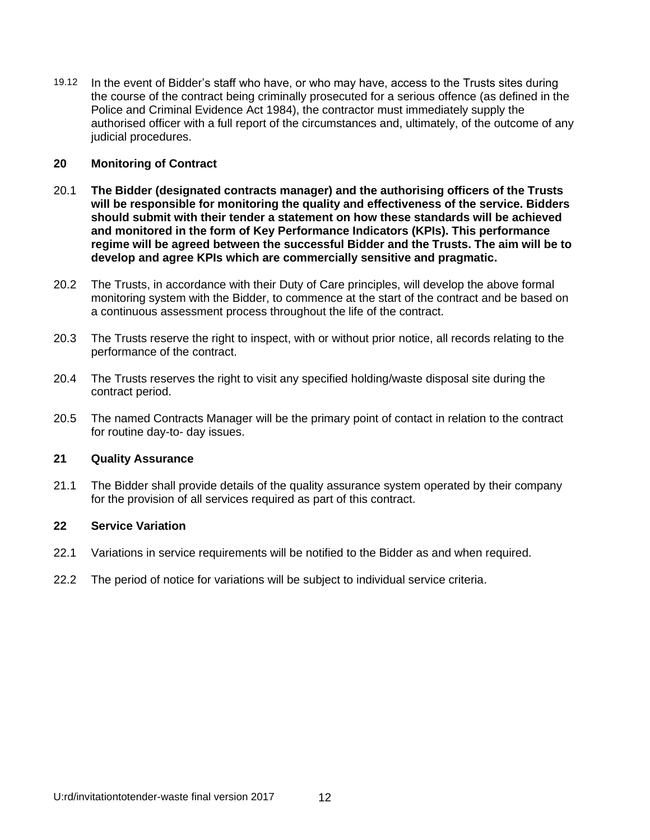19.12 In the event of Bidder's staff who have, or who may have, access to the Trusts sites during the course of the contract being criminally prosecuted for a serious offence (as defined in the Police and Criminal Evidence Act 1984), the contractor must immediately supply the authorised officer with a full report of the circumstances and, ultimately, of the outcome of any judicial procedures.

#### **20 Monitoring of Contract**

- 20.1 **The Bidder (designated contracts manager) and the authorising officers of the Trusts will be responsible for monitoring the quality and effectiveness of the service. Bidders should submit with their tender a statement on how these standards will be achieved and monitored in the form of Key Performance Indicators (KPIs). This performance regime will be agreed between the successful Bidder and the Trusts. The aim will be to develop and agree KPIs which are commercially sensitive and pragmatic.**
- 20.2 The Trusts, in accordance with their Duty of Care principles, will develop the above formal monitoring system with the Bidder, to commence at the start of the contract and be based on a continuous assessment process throughout the life of the contract.
- 20.3 The Trusts reserve the right to inspect, with or without prior notice, all records relating to the performance of the contract.
- 20.4 The Trusts reserves the right to visit any specified holding/waste disposal site during the contract period.
- 20.5 The named Contracts Manager will be the primary point of contact in relation to the contract for routine day-to- day issues.

#### **21 Quality Assurance**

21.1 The Bidder shall provide details of the quality assurance system operated by their company for the provision of all services required as part of this contract.

#### **22 Service Variation**

- 22.1 Variations in service requirements will be notified to the Bidder as and when required.
- 22.2 The period of notice for variations will be subject to individual service criteria.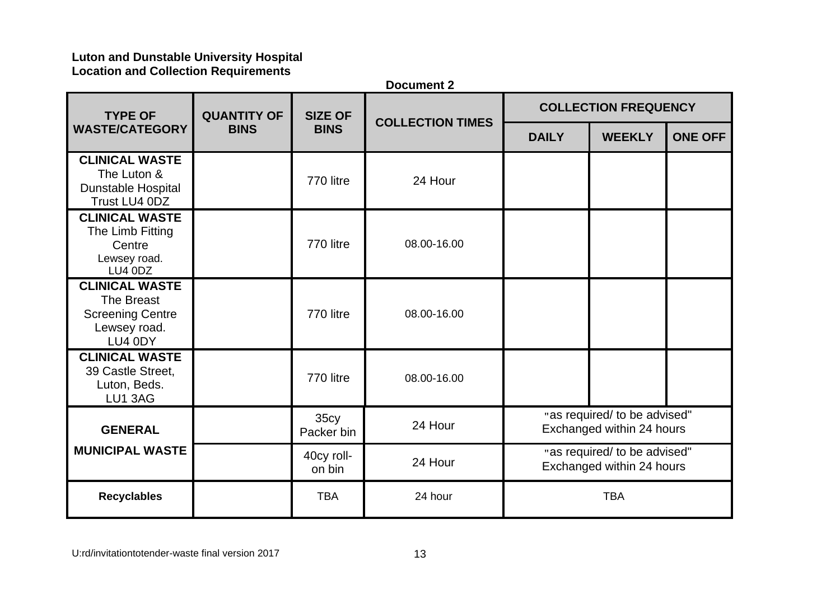# **Luton and Dunstable University Hospital Location and Collection Requirements**

|                                                                                           |                    |                                | <b>Document 2</b>       |                                                           |                                                           |                |  |
|-------------------------------------------------------------------------------------------|--------------------|--------------------------------|-------------------------|-----------------------------------------------------------|-----------------------------------------------------------|----------------|--|
| <b>TYPE OF</b>                                                                            | <b>QUANTITY OF</b> | <b>SIZE OF</b>                 | <b>COLLECTION TIMES</b> |                                                           | <b>COLLECTION FREQUENCY</b>                               |                |  |
| <b>WASTE/CATEGORY</b>                                                                     | <b>BINS</b>        | <b>BINS</b>                    |                         | <b>DAILY</b>                                              | <b>WEEKLY</b>                                             | <b>ONE OFF</b> |  |
| <b>CLINICAL WASTE</b><br>The Luton &<br>Dunstable Hospital<br>Trust LU4 0DZ               |                    | 770 litre                      | 24 Hour                 |                                                           |                                                           |                |  |
| <b>CLINICAL WASTE</b><br>The Limb Fitting<br>Centre<br>Lewsey road.<br>LU4 0DZ            |                    | 770 litre                      | 08.00-16.00             |                                                           |                                                           |                |  |
| <b>CLINICAL WASTE</b><br>The Breast<br><b>Screening Centre</b><br>Lewsey road.<br>LU4 0DY |                    | 770 litre                      | 08.00-16.00             |                                                           |                                                           |                |  |
| <b>CLINICAL WASTE</b><br>39 Castle Street,<br>Luton, Beds.<br>LU1 3AG                     |                    | 770 litre                      | 08.00-16.00             |                                                           |                                                           |                |  |
| <b>GENERAL</b>                                                                            |                    | 35c <sub>V</sub><br>Packer bin | 24 Hour                 | "as required/ to be advised"<br>Exchanged within 24 hours |                                                           |                |  |
| <b>MUNICIPAL WASTE</b>                                                                    |                    | 40cy roll-<br>on bin           | 24 Hour                 |                                                           | "as required/ to be advised"<br>Exchanged within 24 hours |                |  |
| <b>Recyclables</b>                                                                        |                    | <b>TBA</b>                     | 24 hour                 |                                                           | <b>TBA</b>                                                |                |  |

U:rd/invitationtotender-waste final version 2017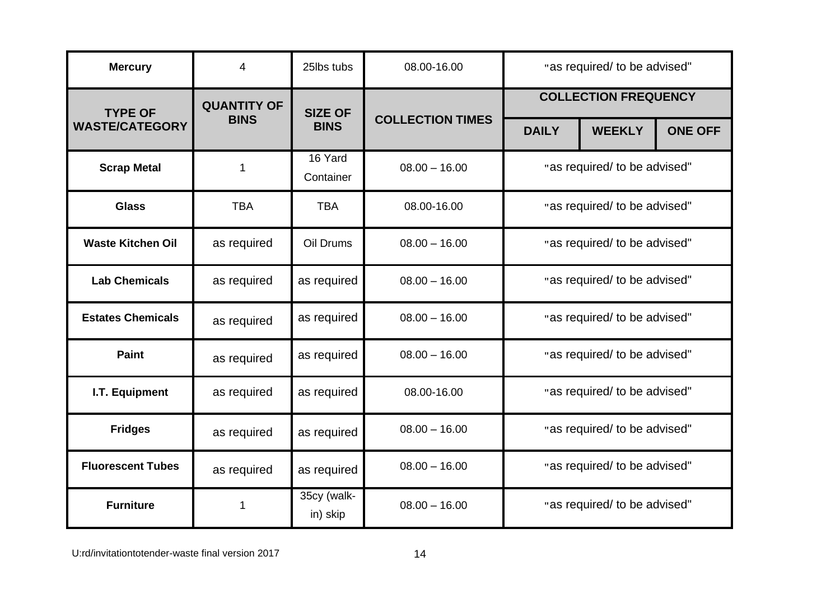| <b>Mercury</b>           | 4                  | 25lbs tubs              | 08.00-16.00             | "as required/ to be advised" |                              |                |  |
|--------------------------|--------------------|-------------------------|-------------------------|------------------------------|------------------------------|----------------|--|
| <b>TYPE OF</b>           | <b>QUANTITY OF</b> | <b>SIZE OF</b>          |                         |                              | <b>COLLECTION FREQUENCY</b>  |                |  |
| <b>WASTE/CATEGORY</b>    | <b>BINS</b>        | <b>BINS</b>             | <b>COLLECTION TIMES</b> | <b>DAILY</b>                 | <b>WEEKLY</b>                | <b>ONE OFF</b> |  |
| <b>Scrap Metal</b>       | 1                  | 16 Yard<br>Container    | $08.00 - 16.00$         |                              | "as required/ to be advised" |                |  |
| <b>Glass</b>             | <b>TBA</b>         | <b>TBA</b>              | 08.00-16.00             |                              | "as required/ to be advised" |                |  |
| <b>Waste Kitchen Oil</b> | as required        | Oil Drums               | $08.00 - 16.00$         |                              | "as required/ to be advised" |                |  |
| <b>Lab Chemicals</b>     | as required        | as required             | $08.00 - 16.00$         |                              | "as required/ to be advised" |                |  |
| <b>Estates Chemicals</b> | as required        | as required             | $08.00 - 16.00$         |                              | "as required/ to be advised" |                |  |
| <b>Paint</b>             | as required        | as required             | $08.00 - 16.00$         |                              | "as required/ to be advised" |                |  |
| I.T. Equipment           | as required        | as required             | 08.00-16.00             |                              | "as required/ to be advised" |                |  |
| <b>Fridges</b>           | as required        | as required             | $08.00 - 16.00$         |                              | "as required/ to be advised" |                |  |
| <b>Fluorescent Tubes</b> | as required        | as required             | $08.00 - 16.00$         | "as required/ to be advised" |                              |                |  |
| <b>Furniture</b>         | 1                  | 35cy (walk-<br>in) skip | $08.00 - 16.00$         |                              | "as required/ to be advised" |                |  |

U:rd/invitationtotender-waste final version 2017 and the matrix of 14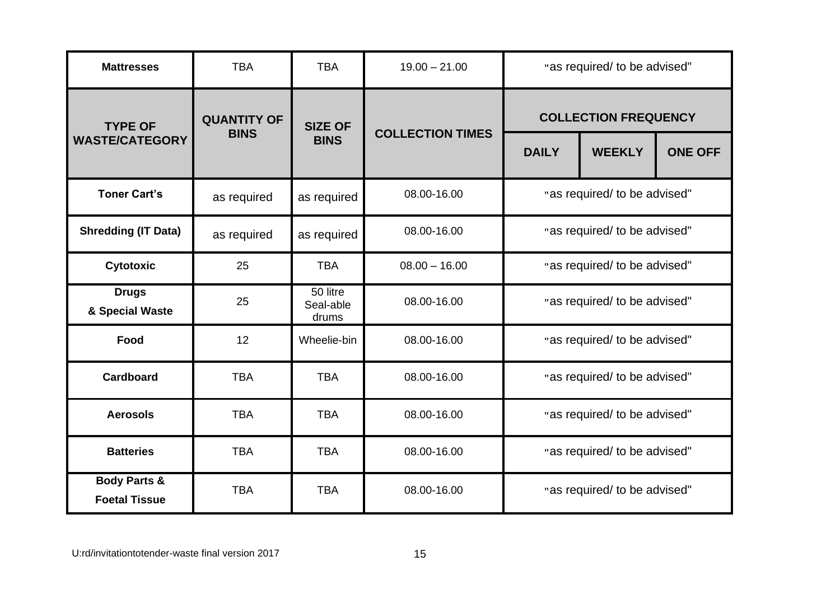| <b>Mattresses</b>                               | <b>TBA</b>         | <b>TBA</b>                     | $19.00 - 21.00$         | "as required/ to be advised" |                                                                                |  |  |
|-------------------------------------------------|--------------------|--------------------------------|-------------------------|------------------------------|--------------------------------------------------------------------------------|--|--|
| <b>TYPE OF</b>                                  | <b>QUANTITY OF</b> | <b>SIZE OF</b>                 |                         |                              | <b>COLLECTION FREQUENCY</b><br><b>ONE OFF</b><br><b>WEEKLY</b><br><b>DAILY</b> |  |  |
| <b>WASTE/CATEGORY</b>                           | <b>BINS</b>        | <b>BINS</b>                    | <b>COLLECTION TIMES</b> |                              |                                                                                |  |  |
| <b>Toner Cart's</b>                             | as required        | as required                    | 08.00-16.00             |                              | "as required/ to be advised"                                                   |  |  |
| <b>Shredding (IT Data)</b>                      | as required        | as required                    | 08.00-16.00             |                              | "as required/ to be advised"                                                   |  |  |
| Cytotoxic                                       | 25                 | <b>TBA</b>                     | $08.00 - 16.00$         | "as required/ to be advised" |                                                                                |  |  |
| <b>Drugs</b><br>& Special Waste                 | 25                 | 50 litre<br>Seal-able<br>drums | 08.00-16.00             |                              | "as required/ to be advised"                                                   |  |  |
| Food                                            | 12                 | Wheelie-bin                    | 08.00-16.00             |                              | "as required/ to be advised"                                                   |  |  |
| Cardboard                                       | <b>TBA</b>         | <b>TBA</b>                     | 08.00-16.00             |                              | "as required/ to be advised"                                                   |  |  |
| <b>Aerosols</b>                                 | <b>TBA</b>         | <b>TBA</b>                     | 08.00-16.00             |                              | "as required/ to be advised"                                                   |  |  |
| <b>Batteries</b>                                | <b>TBA</b>         | <b>TBA</b>                     | 08.00-16.00             |                              | "as required/ to be advised"                                                   |  |  |
| <b>Body Parts &amp;</b><br><b>Foetal Tissue</b> | <b>TBA</b>         | <b>TBA</b>                     | 08.00-16.00             |                              | "as required/ to be advised"                                                   |  |  |

U:rd/invitationtotender-waste final version 2017 https://www.tationtotender-waste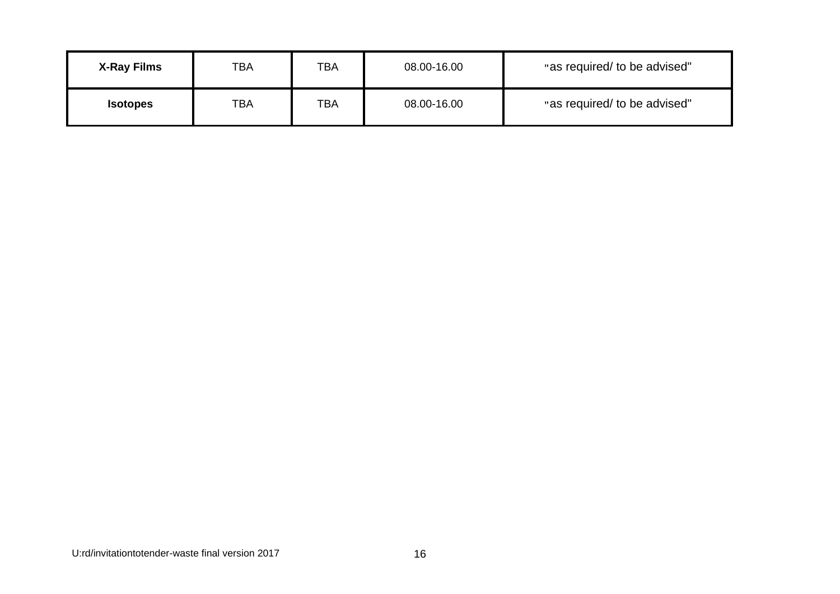| <b>X-Ray Films</b> | тва | TBA | 08.00-16.00 | "as required/ to be advised" |
|--------------------|-----|-----|-------------|------------------------------|
| <b>Isotopes</b>    | TBA | TBA | 08.00-16.00 | "as required/ to be advised" |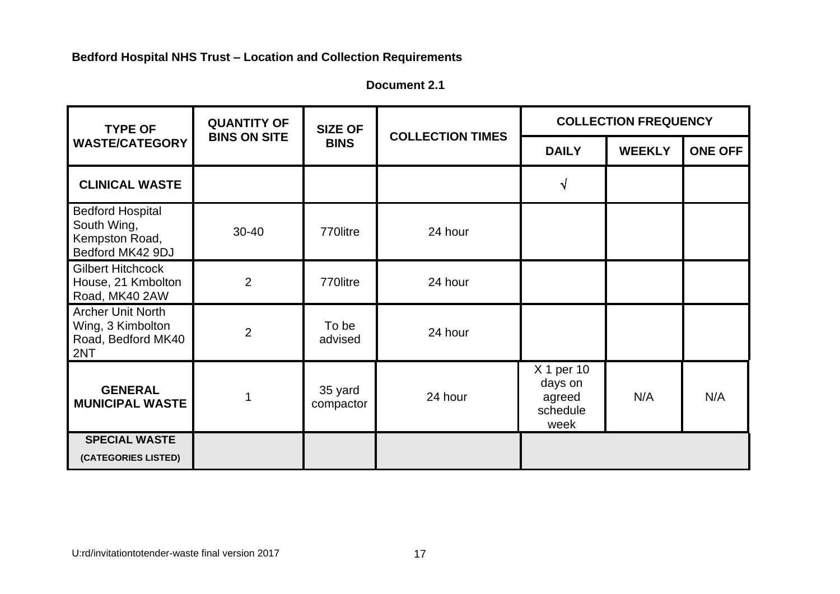| Document 2.1 |  |
|--------------|--|
|--------------|--|

| <b>TYPE OF</b>                                                               | <b>QUANTITY OF</b><br><b>BINS ON SITE</b> | <b>SIZE OF</b>       | <b>COLLECTION TIMES</b> | <b>COLLECTION FREQUENCY</b>                         |               |                |
|------------------------------------------------------------------------------|-------------------------------------------|----------------------|-------------------------|-----------------------------------------------------|---------------|----------------|
| <b>WASTE/CATEGORY</b>                                                        |                                           | <b>BINS</b>          |                         | <b>DAILY</b>                                        | <b>WEEKLY</b> | <b>ONE OFF</b> |
| <b>CLINICAL WASTE</b>                                                        |                                           |                      |                         | N                                                   |               |                |
| <b>Bedford Hospital</b><br>South Wing,<br>Kempston Road,<br>Bedford MK42 9DJ | $30 - 40$                                 | 770litre             | 24 hour                 |                                                     |               |                |
| <b>Gilbert Hitchcock</b><br>House, 21 Kmbolton<br>Road, MK40 2AW             | $\overline{2}$                            | 770litre             | 24 hour                 |                                                     |               |                |
| <b>Archer Unit North</b><br>Wing, 3 Kimbolton<br>Road, Bedford MK40<br>2NT   | $\overline{2}$                            | To be<br>advised     | 24 hour                 |                                                     |               |                |
| <b>GENERAL</b><br><b>MUNICIPAL WASTE</b>                                     |                                           | 35 yard<br>compactor | 24 hour                 | X 1 per 10<br>days on<br>agreed<br>schedule<br>week | N/A           | N/A            |
| <b>SPECIAL WASTE</b><br>(CATEGORIES LISTED)                                  |                                           |                      |                         |                                                     |               |                |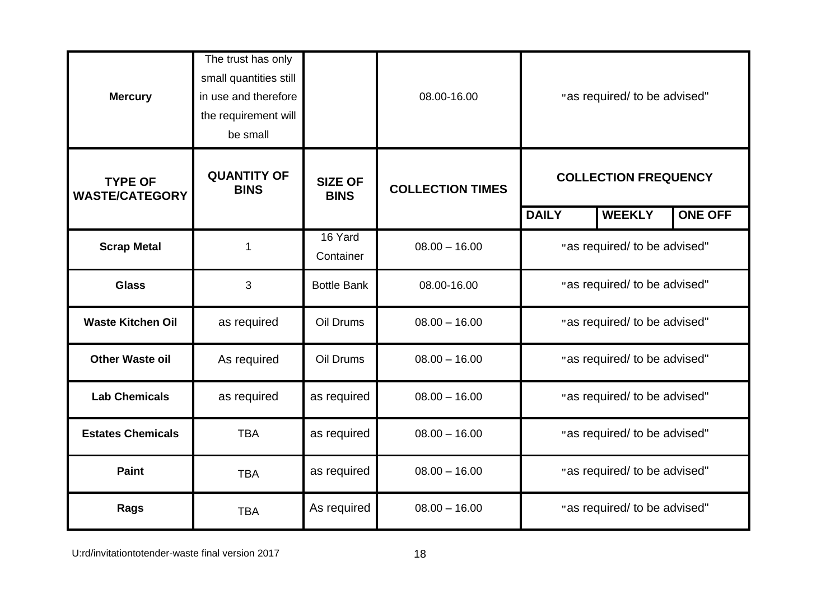| <b>Mercury</b>                          | The trust has only<br>small quantities still<br>in use and therefore<br>the requirement will<br>be small |                               | 08.00-16.00             | "as required/ to be advised" |                              |                |
|-----------------------------------------|----------------------------------------------------------------------------------------------------------|-------------------------------|-------------------------|------------------------------|------------------------------|----------------|
| <b>TYPE OF</b><br><b>WASTE/CATEGORY</b> | <b>QUANTITY OF</b><br><b>BINS</b>                                                                        | <b>SIZE OF</b><br><b>BINS</b> | <b>COLLECTION TIMES</b> | <b>COLLECTION FREQUENCY</b>  |                              |                |
|                                         |                                                                                                          |                               |                         | <b>DAILY</b>                 | <b>WEEKLY</b>                | <b>ONE OFF</b> |
| <b>Scrap Metal</b>                      | 1                                                                                                        | 16 Yard<br>Container          | $08.00 - 16.00$         | "as required/ to be advised" |                              |                |
| <b>Glass</b>                            | 3                                                                                                        | <b>Bottle Bank</b>            | 08.00-16.00             | "as required/ to be advised" |                              |                |
| <b>Waste Kitchen Oil</b>                | as required                                                                                              | Oil Drums                     | $08.00 - 16.00$         |                              | "as required/ to be advised" |                |
| <b>Other Waste oil</b>                  | As required                                                                                              | Oil Drums                     | $08.00 - 16.00$         |                              | "as required/ to be advised" |                |
| <b>Lab Chemicals</b>                    | as required                                                                                              | as required                   | $08.00 - 16.00$         |                              | "as required/ to be advised" |                |
| <b>Estates Chemicals</b>                | <b>TBA</b>                                                                                               | as required                   | $08.00 - 16.00$         |                              | "as required/ to be advised" |                |
| <b>Paint</b>                            | <b>TBA</b>                                                                                               | as required                   | $08.00 - 16.00$         | "as required/ to be advised" |                              |                |
| Rags                                    | <b>TBA</b>                                                                                               | As required                   | $08.00 - 16.00$         |                              | "as required/ to be advised" |                |

U:rd/invitationtotender-waste final version 2017 and the control of the 18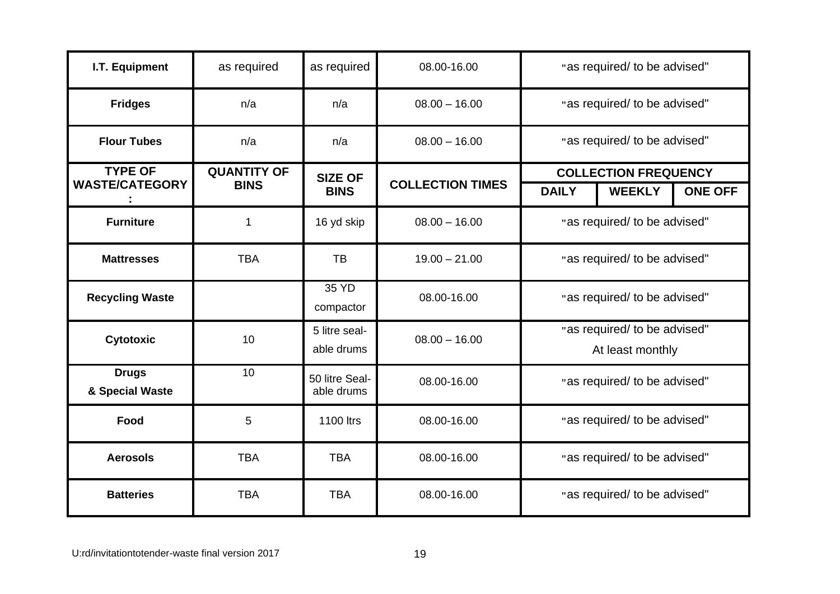| I.T. Equipment                  | as required        | as required                  | 08.00-16.00             | "as required/ to be advised" |                                                  |                |  |
|---------------------------------|--------------------|------------------------------|-------------------------|------------------------------|--------------------------------------------------|----------------|--|
| <b>Fridges</b>                  | n/a                | n/a                          | $08.00 - 16.00$         |                              | "as required/ to be advised"                     |                |  |
| <b>Flour Tubes</b>              | n/a                | n/a                          | $08.00 - 16.00$         |                              | "as required/ to be advised"                     |                |  |
| <b>TYPE OF</b>                  | <b>QUANTITY OF</b> | <b>SIZE OF</b>               |                         |                              | <b>COLLECTION FREQUENCY</b>                      |                |  |
| <b>WASTE/CATEGORY</b>           | <b>BINS</b>        | <b>BINS</b>                  | <b>COLLECTION TIMES</b> | <b>DAILY</b>                 | <b>WEEKLY</b>                                    | <b>ONE OFF</b> |  |
| <b>Furniture</b>                | 1                  | 16 yd skip                   | $08.00 - 16.00$         |                              | "as required/ to be advised"                     |                |  |
| <b>Mattresses</b>               | <b>TBA</b>         | <b>TB</b>                    | $19.00 - 21.00$         |                              | "as required/ to be advised"                     |                |  |
| <b>Recycling Waste</b>          |                    | 35 YD<br>compactor           | 08.00-16.00             |                              | "as required/ to be advised"                     |                |  |
| Cytotoxic                       | 10                 | 5 litre seal-<br>able drums  | $08.00 - 16.00$         |                              | "as required/ to be advised"<br>At least monthly |                |  |
| <b>Drugs</b><br>& Special Waste | 10                 | 50 litre Seal-<br>able drums | 08.00-16.00             |                              | "as required/ to be advised"                     |                |  |
| Food                            | 5                  | 1100 ltrs                    | 08.00-16.00             |                              | "as required/ to be advised"                     |                |  |
| <b>Aerosols</b>                 | <b>TBA</b>         | <b>TBA</b>                   | 08.00-16.00             | "as required/ to be advised" |                                                  |                |  |
| <b>Batteries</b>                | <b>TBA</b>         | <b>TBA</b>                   | 08.00-16.00             |                              | "as required/ to be advised"                     |                |  |

U:rd/invitationtotender-waste final version 2017 and the matrix of 19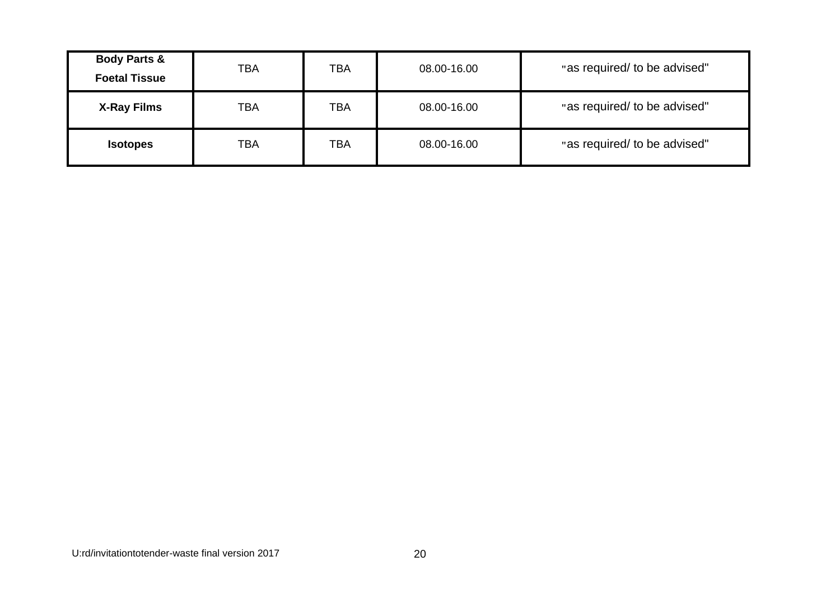| <b>Body Parts &amp;</b><br><b>Foetal Tissue</b> | <b>TBA</b> | <b>TBA</b> | 08.00-16.00 | "as required/ to be advised" |
|-------------------------------------------------|------------|------------|-------------|------------------------------|
| <b>X-Ray Films</b>                              | <b>TBA</b> | <b>TBA</b> | 08.00-16.00 | "as required/ to be advised" |
| <b>Isotopes</b>                                 | <b>TBA</b> | <b>TBA</b> | 08.00-16.00 | "as required/ to be advised" |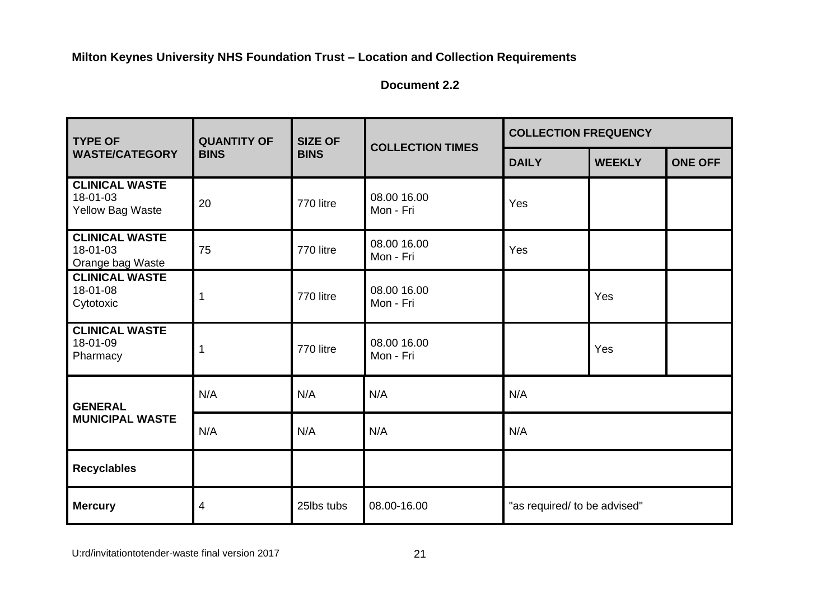**Document 2.2**

| <b>TYPE OF</b>                                               | <b>QUANTITY OF</b> | <b>SIZE OF</b> | <b>COLLECTION TIMES</b>  | <b>COLLECTION FREQUENCY</b>  |               |                |
|--------------------------------------------------------------|--------------------|----------------|--------------------------|------------------------------|---------------|----------------|
| <b>WASTE/CATEGORY</b>                                        | <b>BINS</b>        | <b>BINS</b>    |                          | <b>DAILY</b>                 | <b>WEEKLY</b> | <b>ONE OFF</b> |
| <b>CLINICAL WASTE</b><br>18-01-03<br><b>Yellow Bag Waste</b> | 20                 | 770 litre      | 08.00 16.00<br>Mon - Fri | Yes                          |               |                |
| <b>CLINICAL WASTE</b><br>18-01-03<br>Orange bag Waste        | 75                 | 770 litre      | 08.00 16.00<br>Mon - Fri | Yes                          |               |                |
| <b>CLINICAL WASTE</b><br>18-01-08<br>Cytotoxic               | 1                  | 770 litre      | 08.00 16.00<br>Mon - Fri |                              | Yes           |                |
| <b>CLINICAL WASTE</b><br>18-01-09<br>Pharmacy                |                    | 770 litre      | 08.00 16.00<br>Mon - Fri |                              | Yes           |                |
| <b>GENERAL</b>                                               | N/A                | N/A            | N/A                      | N/A                          |               |                |
| <b>MUNICIPAL WASTE</b>                                       | N/A                | N/A            | N/A                      | N/A                          |               |                |
| <b>Recyclables</b>                                           |                    |                |                          |                              |               |                |
| <b>Mercury</b>                                               | 4                  | 25lbs tubs     | 08.00-16.00              | "as required/ to be advised" |               |                |

U:rd/invitationtotender-waste final version 2017 21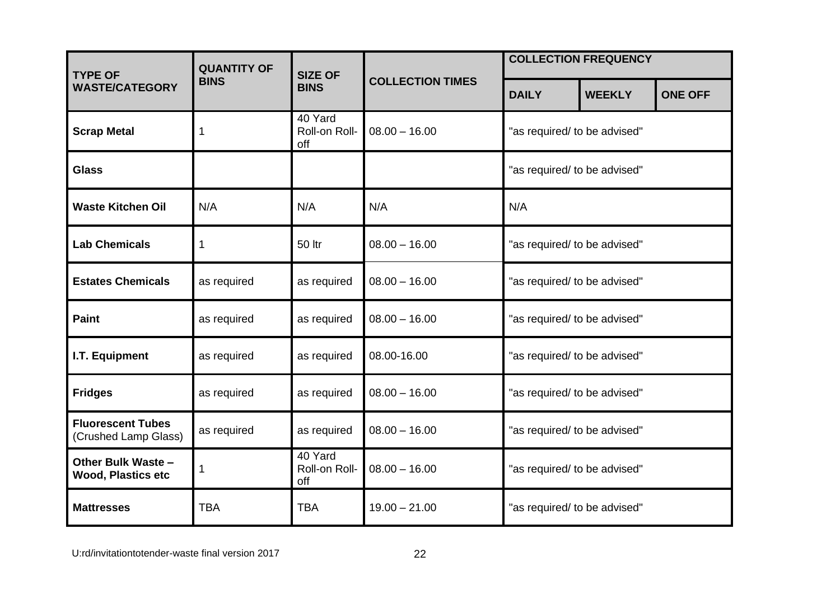| <b>TYPE OF</b>                                   | <b>QUANTITY OF</b> | <b>SIZE OF</b>                  |                         | <b>COLLECTION FREQUENCY</b>  |               |                |
|--------------------------------------------------|--------------------|---------------------------------|-------------------------|------------------------------|---------------|----------------|
| <b>WASTE/CATEGORY</b>                            | <b>BINS</b>        | <b>BINS</b>                     | <b>COLLECTION TIMES</b> | <b>DAILY</b>                 | <b>WEEKLY</b> | <b>ONE OFF</b> |
| <b>Scrap Metal</b>                               |                    | 40 Yard<br>Roll-on Roll-<br>off | $08.00 - 16.00$         | "as required/ to be advised" |               |                |
| <b>Glass</b>                                     |                    |                                 |                         | "as required/ to be advised" |               |                |
| <b>Waste Kitchen Oil</b>                         | N/A                | N/A                             | N/A                     | N/A                          |               |                |
| <b>Lab Chemicals</b>                             | 1                  | <b>50 ltr</b>                   | $08.00 - 16.00$         | "as required/ to be advised" |               |                |
| <b>Estates Chemicals</b>                         | as required        | as required                     | $08.00 - 16.00$         | "as required/ to be advised" |               |                |
| <b>Paint</b>                                     | as required        | as required                     | $08.00 - 16.00$         | "as required/ to be advised" |               |                |
| I.T. Equipment                                   | as required        | as required                     | 08.00-16.00             | "as required/ to be advised" |               |                |
| <b>Fridges</b>                                   | as required        | as required                     | $08.00 - 16.00$         | "as required/ to be advised" |               |                |
| <b>Fluorescent Tubes</b><br>(Crushed Lamp Glass) | as required        | as required                     | $08.00 - 16.00$         | "as required/ to be advised" |               |                |
| Other Bulk Waste -<br><b>Wood, Plastics etc</b>  | 1                  | 40 Yard<br>Roll-on Roll-<br>off | $08.00 - 16.00$         | "as required/ to be advised" |               |                |
| <b>Mattresses</b>                                | <b>TBA</b>         | <b>TBA</b>                      | $19.00 - 21.00$         | "as required/ to be advised" |               |                |

U:rd/invitationtotender-waste final version 2017 22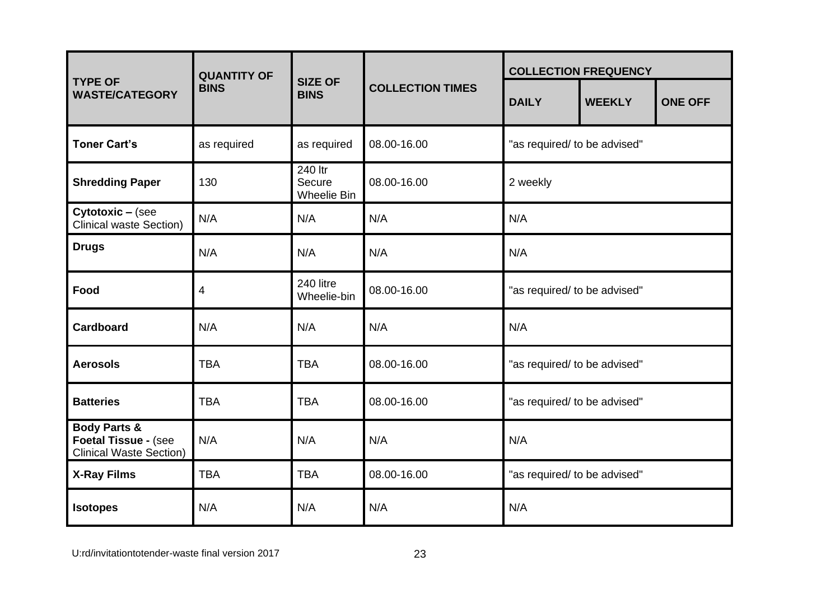|                                                                                   | <b>QUANTITY OF</b> |                                  |                         |                              | <b>COLLECTION FREQUENCY</b> |                |  |
|-----------------------------------------------------------------------------------|--------------------|----------------------------------|-------------------------|------------------------------|-----------------------------|----------------|--|
| <b>TYPE OF</b><br><b>WASTE/CATEGORY</b>                                           | <b>BINS</b>        | <b>SIZE OF</b><br><b>BINS</b>    | <b>COLLECTION TIMES</b> | <b>DAILY</b>                 | <b>WEEKLY</b>               | <b>ONE OFF</b> |  |
| <b>Toner Cart's</b>                                                               | as required        | as required                      | 08.00-16.00             | "as required/ to be advised" |                             |                |  |
| <b>Shredding Paper</b>                                                            | 130                | 240 ltr<br>Secure<br>Wheelie Bin | 08.00-16.00             | 2 weekly                     |                             |                |  |
| Cytotoxic - (see<br>Clinical waste Section)                                       | N/A                | N/A                              | N/A                     | N/A                          |                             |                |  |
| <b>Drugs</b>                                                                      | N/A                | N/A                              | N/A                     | N/A                          |                             |                |  |
| Food                                                                              | 4                  | 240 litre<br>Wheelie-bin         | 08.00-16.00             | "as required/ to be advised" |                             |                |  |
| <b>Cardboard</b>                                                                  | N/A                | N/A                              | N/A                     | N/A                          |                             |                |  |
| <b>Aerosols</b>                                                                   | <b>TBA</b>         | <b>TBA</b>                       | 08.00-16.00             | "as required/ to be advised" |                             |                |  |
| <b>Batteries</b>                                                                  | <b>TBA</b>         | <b>TBA</b>                       | 08.00-16.00             | "as required/ to be advised" |                             |                |  |
| <b>Body Parts &amp;</b><br>Foetal Tissue - (see<br><b>Clinical Waste Section)</b> | N/A                | N/A                              | N/A                     | N/A                          |                             |                |  |
| <b>X-Ray Films</b>                                                                | <b>TBA</b>         | <b>TBA</b>                       | 08.00-16.00             | "as required/ to be advised" |                             |                |  |
| <b>Isotopes</b>                                                                   | N/A                | N/A                              | N/A                     | N/A                          |                             |                |  |

U:rd/invitationtotender-waste final version 2017 23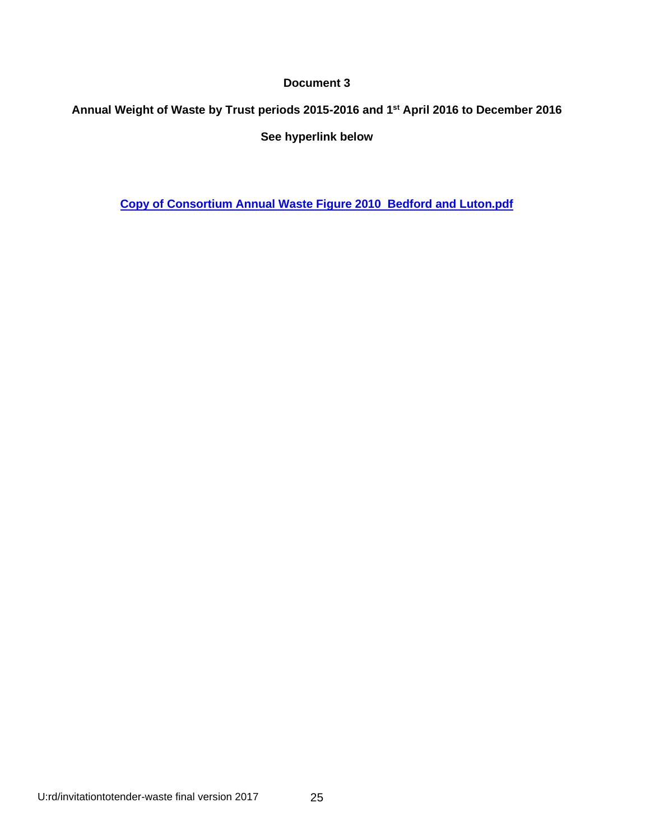# **Annual Weight of Waste by Trust periods 2015-2016 and 1st April 2016 to December 2016 See hyperlink below**

**[Copy of Consortium Annual Waste Figure 2010 Bedford and Luton.pdf](file:///C:/Users/tdevine/AppData/Local/Microsoft/Windows/Temporary%20Internet%20Files/Content.Outlook/39Z9PK2D/Copy%20of%20Consortium%20Annual%20Waste%20Figure%202010%20%20Bedford%20and%20Luton.pdf)**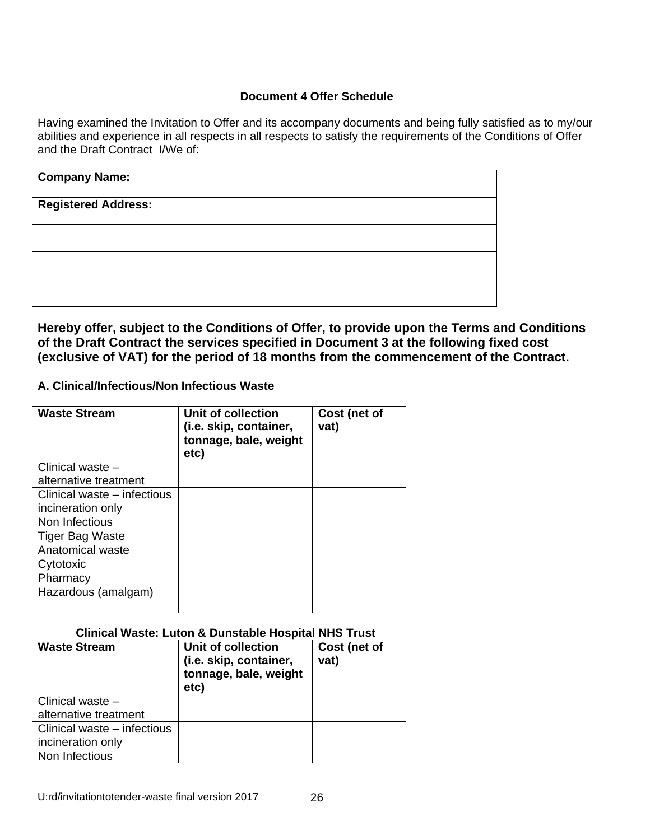#### **Document 4 Offer Schedule**

Having examined the Invitation to Offer and its accompany documents and being fully satisfied as to my/our abilities and experience in all respects in all respects to satisfy the requirements of the Conditions of Offer and the Draft Contract I/We of:

| <b>Company Name:</b>       |  |  |
|----------------------------|--|--|
| <b>Registered Address:</b> |  |  |
|                            |  |  |
|                            |  |  |
|                            |  |  |
|                            |  |  |

**Hereby offer, subject to the Conditions of Offer, to provide upon the Terms and Conditions of the Draft Contract the services specified in Document 3 at the following fixed cost (exclusive of VAT) for the period of 18 months from the commencement of the Contract.** 

#### **A. Clinical/Infectious/Non Infectious Waste**

| <b>Waste Stream</b>         | <b>Unit of collection</b><br>(i.e. skip, container,<br>tonnage, bale, weight<br>etc) | Cost (net of<br>vat) |
|-----------------------------|--------------------------------------------------------------------------------------|----------------------|
| Clinical waste -            |                                                                                      |                      |
| alternative treatment       |                                                                                      |                      |
| Clinical waste – infectious |                                                                                      |                      |
| incineration only           |                                                                                      |                      |
| Non Infectious              |                                                                                      |                      |
| <b>Tiger Bag Waste</b>      |                                                                                      |                      |
| Anatomical waste            |                                                                                      |                      |
| Cytotoxic                   |                                                                                      |                      |
| Pharmacy                    |                                                                                      |                      |
| Hazardous (amalgam)         |                                                                                      |                      |
|                             |                                                                                      |                      |

#### **Clinical Waste: Luton & Dunstable Hospital NHS Trust**

| <b>Waste Stream</b>         | Unit of collection<br>(i.e. skip, container,<br>tonnage, bale, weight<br>etc) | Cost (net of<br>vat) |
|-----------------------------|-------------------------------------------------------------------------------|----------------------|
| Clinical waste -            |                                                                               |                      |
| alternative treatment       |                                                                               |                      |
| Clinical waste - infectious |                                                                               |                      |
| incineration only           |                                                                               |                      |
| Non Infectious              |                                                                               |                      |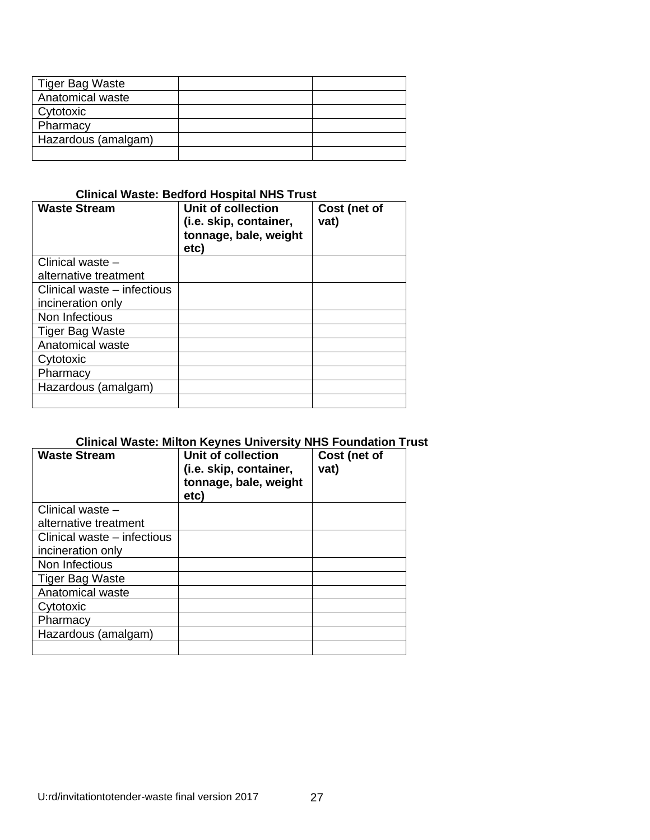| Tiger Bag Waste     |  |
|---------------------|--|
| Anatomical waste    |  |
| Cytotoxic           |  |
| Pharmacy            |  |
| Hazardous (amalgam) |  |
|                     |  |

# **Clinical Waste: Bedford Hospital NHS Trust**

| <b>Waste Stream</b>         | Unit of collection<br>(i.e. skip, container,<br>tonnage, bale, weight<br>etc) | Cost (net of<br>vat) |
|-----------------------------|-------------------------------------------------------------------------------|----------------------|
| Clinical waste -            |                                                                               |                      |
| alternative treatment       |                                                                               |                      |
| Clinical waste – infectious |                                                                               |                      |
| incineration only           |                                                                               |                      |
| Non Infectious              |                                                                               |                      |
| <b>Tiger Bag Waste</b>      |                                                                               |                      |
| Anatomical waste            |                                                                               |                      |
| Cytotoxic                   |                                                                               |                      |
| Pharmacy                    |                                                                               |                      |
| Hazardous (amalgam)         |                                                                               |                      |
|                             |                                                                               |                      |

# **Clinical Waste: Milton Keynes University NHS Foundation Trust**

| <b>Waste Stream</b>         | Unit of collection<br>(i.e. skip, container,<br>tonnage, bale, weight<br>etc) | Cost (net of<br>vat) |
|-----------------------------|-------------------------------------------------------------------------------|----------------------|
| Clinical waste -            |                                                                               |                      |
| alternative treatment       |                                                                               |                      |
| Clinical waste – infectious |                                                                               |                      |
| incineration only           |                                                                               |                      |
| Non Infectious              |                                                                               |                      |
| Tiger Bag Waste             |                                                                               |                      |
| Anatomical waste            |                                                                               |                      |
| Cytotoxic                   |                                                                               |                      |
| Pharmacy                    |                                                                               |                      |
| Hazardous (amalgam)         |                                                                               |                      |
|                             |                                                                               |                      |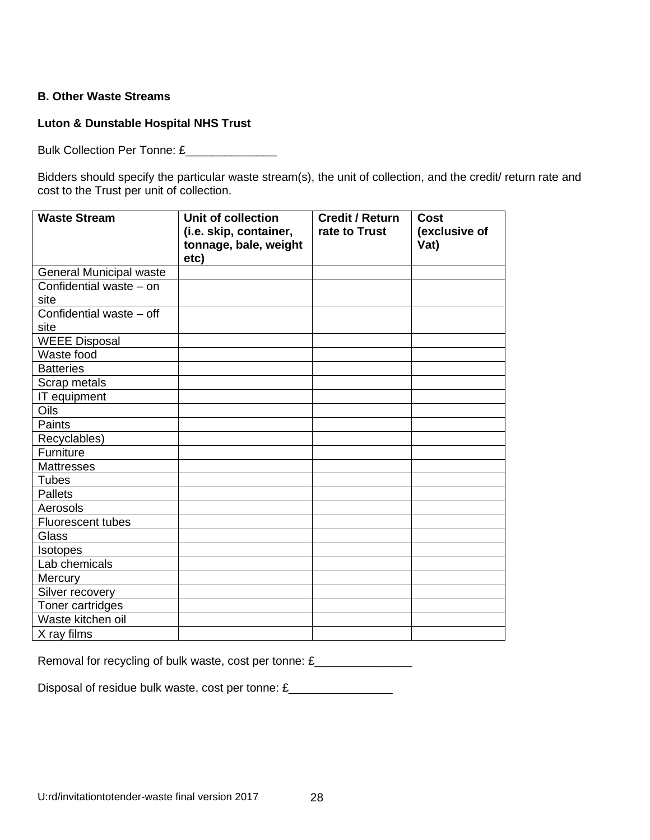#### **B. Other Waste Streams**

# **Luton & Dunstable Hospital NHS Trust**

Bulk Collection Per Tonne: £\_\_\_\_\_\_\_\_\_\_\_\_\_\_

Bidders should specify the particular waste stream(s), the unit of collection, and the credit/ return rate and cost to the Trust per unit of collection.

| <b>Waste Stream</b>              | Unit of collection<br>(i.e. skip, container,<br>tonnage, bale, weight<br>etc) | <b>Credit / Return</b><br>rate to Trust | <b>Cost</b><br>(exclusive of<br>Vat) |
|----------------------------------|-------------------------------------------------------------------------------|-----------------------------------------|--------------------------------------|
| <b>General Municipal waste</b>   |                                                                               |                                         |                                      |
| Confidential waste - on<br>site  |                                                                               |                                         |                                      |
| Confidential waste - off<br>site |                                                                               |                                         |                                      |
| <b>WEEE Disposal</b>             |                                                                               |                                         |                                      |
| Waste food                       |                                                                               |                                         |                                      |
| <b>Batteries</b>                 |                                                                               |                                         |                                      |
| Scrap metals                     |                                                                               |                                         |                                      |
| IT equipment                     |                                                                               |                                         |                                      |
| Oils                             |                                                                               |                                         |                                      |
| Paints                           |                                                                               |                                         |                                      |
| Recyclables)                     |                                                                               |                                         |                                      |
| Furniture                        |                                                                               |                                         |                                      |
| <b>Mattresses</b>                |                                                                               |                                         |                                      |
| <b>Tubes</b>                     |                                                                               |                                         |                                      |
| <b>Pallets</b>                   |                                                                               |                                         |                                      |
| Aerosols                         |                                                                               |                                         |                                      |
| Fluorescent tubes                |                                                                               |                                         |                                      |
| <b>Glass</b>                     |                                                                               |                                         |                                      |
| <b>Isotopes</b>                  |                                                                               |                                         |                                      |
| Lab chemicals                    |                                                                               |                                         |                                      |
| Mercury                          |                                                                               |                                         |                                      |
| Silver recovery                  |                                                                               |                                         |                                      |
| Toner cartridges                 |                                                                               |                                         |                                      |
| Waste kitchen oil                |                                                                               |                                         |                                      |
| X ray films                      |                                                                               |                                         |                                      |

Removal for recycling of bulk waste, cost per tonne: £\_\_\_\_\_\_\_\_\_\_\_\_\_\_\_\_\_\_\_\_\_\_\_\_\_\_

Disposal of residue bulk waste, cost per tonne: £\_\_\_\_\_\_\_\_\_\_\_\_\_\_\_\_\_\_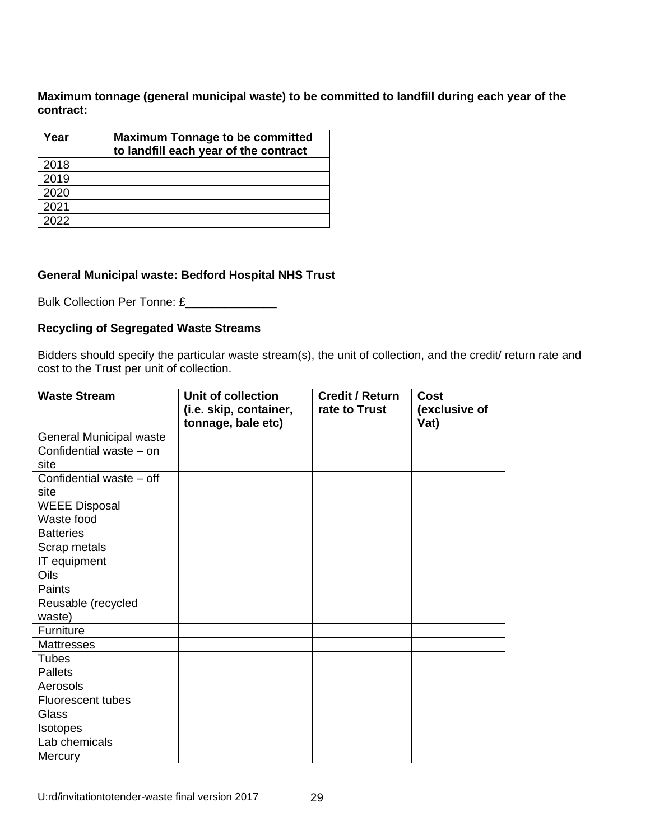**Maximum tonnage (general municipal waste) to be committed to landfill during each year of the contract:** 

| Year | <b>Maximum Tonnage to be committed</b><br>to landfill each year of the contract |
|------|---------------------------------------------------------------------------------|
| 2018 |                                                                                 |
| 2019 |                                                                                 |
| 2020 |                                                                                 |
| 2021 |                                                                                 |
| 2022 |                                                                                 |

#### **General Municipal waste: Bedford Hospital NHS Trust**

Bulk Collection Per Tonne: £\_\_\_\_\_\_\_\_\_\_\_\_\_\_

#### **Recycling of Segregated Waste Streams**

Bidders should specify the particular waste stream(s), the unit of collection, and the credit/ return rate and cost to the Trust per unit of collection.

| <b>Waste Stream</b>            | Unit of collection<br>(i.e. skip, container, | <b>Credit / Return</b><br>rate to Trust | Cost<br>(exclusive of |
|--------------------------------|----------------------------------------------|-----------------------------------------|-----------------------|
|                                | tonnage, bale etc)                           |                                         | Vat)                  |
| <b>General Municipal waste</b> |                                              |                                         |                       |
| Confidential waste - on        |                                              |                                         |                       |
| site                           |                                              |                                         |                       |
| Confidential waste - off       |                                              |                                         |                       |
| site                           |                                              |                                         |                       |
| <b>WEEE Disposal</b>           |                                              |                                         |                       |
| Waste food                     |                                              |                                         |                       |
| <b>Batteries</b>               |                                              |                                         |                       |
| Scrap metals                   |                                              |                                         |                       |
| IT equipment                   |                                              |                                         |                       |
| Oils                           |                                              |                                         |                       |
| Paints                         |                                              |                                         |                       |
| Reusable (recycled             |                                              |                                         |                       |
| waste)                         |                                              |                                         |                       |
| Furniture                      |                                              |                                         |                       |
| <b>Mattresses</b>              |                                              |                                         |                       |
| <b>Tubes</b>                   |                                              |                                         |                       |
| <b>Pallets</b>                 |                                              |                                         |                       |
| Aerosols                       |                                              |                                         |                       |
| <b>Fluorescent tubes</b>       |                                              |                                         |                       |
| Glass                          |                                              |                                         |                       |
| Isotopes                       |                                              |                                         |                       |
| Lab chemicals                  |                                              |                                         |                       |
| Mercury                        |                                              |                                         |                       |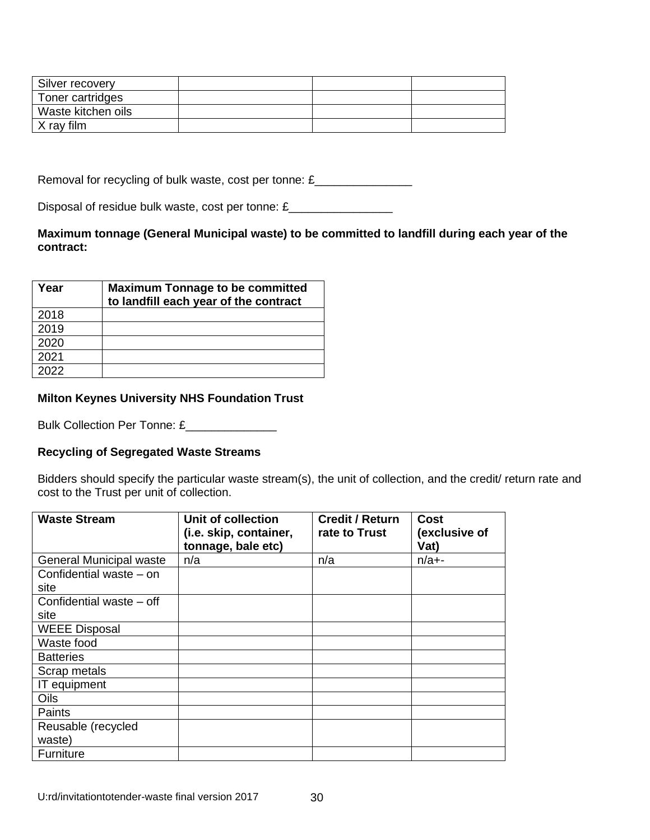| Silver recovery    |  |  |
|--------------------|--|--|
| Toner cartridges   |  |  |
| Waste kitchen oils |  |  |
| X ray film         |  |  |

Removal for recycling of bulk waste, cost per tonne: £\_\_\_\_\_\_\_\_\_\_\_\_\_\_\_\_\_

Disposal of residue bulk waste, cost per tonne: £\_\_\_\_\_\_\_\_\_\_\_\_\_\_\_\_

#### **Maximum tonnage (General Municipal waste) to be committed to landfill during each year of the contract:**

| Year | <b>Maximum Tonnage to be committed</b><br>to landfill each year of the contract |
|------|---------------------------------------------------------------------------------|
| 2018 |                                                                                 |
| 2019 |                                                                                 |
| 2020 |                                                                                 |
| 2021 |                                                                                 |
| つへつつ |                                                                                 |

#### **Milton Keynes University NHS Foundation Trust**

Bulk Collection Per Tonne: £\_\_\_\_\_\_\_\_\_\_\_\_\_\_\_

#### **Recycling of Segregated Waste Streams**

Bidders should specify the particular waste stream(s), the unit of collection, and the credit/ return rate and cost to the Trust per unit of collection.

| <b>Waste Stream</b>            | <b>Unit of collection</b><br>(i.e. skip, container,<br>tonnage, bale etc) | <b>Credit / Return</b><br>rate to Trust | Cost<br>(exclusive of<br>Vat) |
|--------------------------------|---------------------------------------------------------------------------|-----------------------------------------|-------------------------------|
| <b>General Municipal waste</b> | n/a                                                                       | n/a                                     | $n/a+$ -                      |
| Confidential waste – on        |                                                                           |                                         |                               |
| site                           |                                                                           |                                         |                               |
| Confidential waste - off       |                                                                           |                                         |                               |
| site                           |                                                                           |                                         |                               |
| <b>WEEE Disposal</b>           |                                                                           |                                         |                               |
| Waste food                     |                                                                           |                                         |                               |
| <b>Batteries</b>               |                                                                           |                                         |                               |
| Scrap metals                   |                                                                           |                                         |                               |
| IT equipment                   |                                                                           |                                         |                               |
| <b>Oils</b>                    |                                                                           |                                         |                               |
| Paints                         |                                                                           |                                         |                               |
| Reusable (recycled             |                                                                           |                                         |                               |
| waste)                         |                                                                           |                                         |                               |
| Furniture                      |                                                                           |                                         |                               |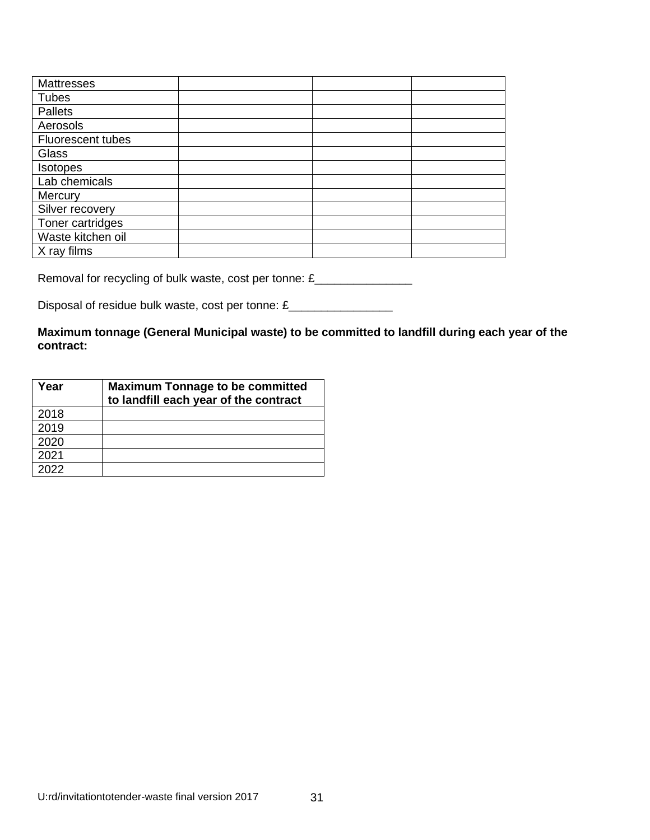| Mattresses               |  |  |
|--------------------------|--|--|
| <b>Tubes</b>             |  |  |
| Pallets                  |  |  |
| Aerosols                 |  |  |
| <b>Fluorescent tubes</b> |  |  |
| Glass                    |  |  |
| Isotopes                 |  |  |
| Lab chemicals            |  |  |
| Mercury                  |  |  |
| Silver recovery          |  |  |
| Toner cartridges         |  |  |
| Waste kitchen oil        |  |  |
| X ray films              |  |  |

Removal for recycling of bulk waste, cost per tonne: £\_\_\_\_\_\_\_\_\_\_\_\_\_\_\_\_\_\_\_\_

Disposal of residue bulk waste, cost per tonne: £\_\_\_\_\_\_\_\_\_\_\_\_\_\_\_\_\_

# **Maximum tonnage (General Municipal waste) to be committed to landfill during each year of the contract:**

| Year | <b>Maximum Tonnage to be committed</b><br>to landfill each year of the contract |
|------|---------------------------------------------------------------------------------|
| 2018 |                                                                                 |
| 2019 |                                                                                 |
| 2020 |                                                                                 |
| 2021 |                                                                                 |
| 2022 |                                                                                 |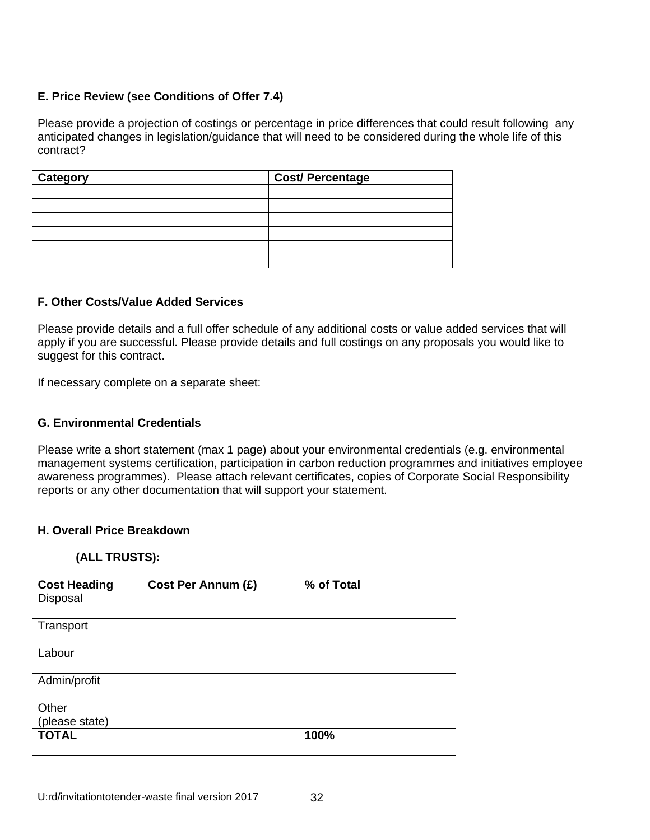### **E. Price Review (see Conditions of Offer 7.4)**

Please provide a projection of costings or percentage in price differences that could result following any anticipated changes in legislation/guidance that will need to be considered during the whole life of this contract?

| <b>Category</b> | <b>Cost/ Percentage</b> |
|-----------------|-------------------------|
|                 |                         |
|                 |                         |
|                 |                         |
|                 |                         |
|                 |                         |
|                 |                         |

#### **F. Other Costs/Value Added Services**

Please provide details and a full offer schedule of any additional costs or value added services that will apply if you are successful. Please provide details and full costings on any proposals you would like to suggest for this contract.

If necessary complete on a separate sheet:

#### **G. Environmental Credentials**

Please write a short statement (max 1 page) about your environmental credentials (e.g. environmental management systems certification, participation in carbon reduction programmes and initiatives employee awareness programmes). Please attach relevant certificates, copies of Corporate Social Responsibility reports or any other documentation that will support your statement.

#### **H. Overall Price Breakdown**

#### **(ALL TRUSTS):**

| <b>Cost Heading</b> | Cost Per Annum (£) | % of Total |
|---------------------|--------------------|------------|
| Disposal            |                    |            |
| Transport           |                    |            |
| Labour              |                    |            |
| Admin/profit        |                    |            |
| Other               |                    |            |
| (please state)      |                    |            |
| <b>TOTAL</b>        |                    | 100%       |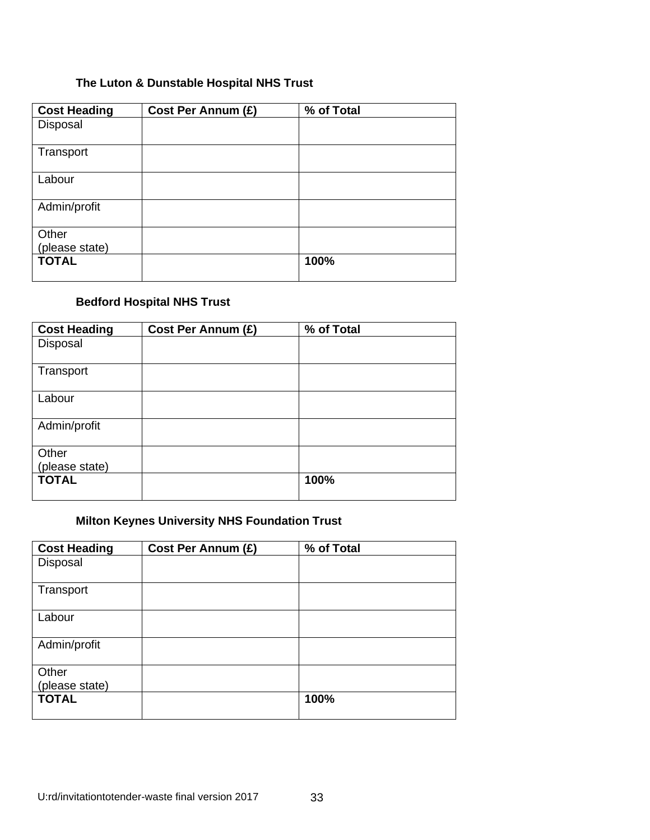# **The Luton & Dunstable Hospital NHS Trust**

| <b>Cost Heading</b> | Cost Per Annum (£) | % of Total |
|---------------------|--------------------|------------|
| Disposal            |                    |            |
| Transport           |                    |            |
| Labour              |                    |            |
| Admin/profit        |                    |            |
| Other               |                    |            |
| (please state)      |                    |            |
| <b>TOTAL</b>        |                    | 100%       |

# **Bedford Hospital NHS Trust**

| <b>Cost Heading</b> | Cost Per Annum (£) | % of Total |
|---------------------|--------------------|------------|
| Disposal            |                    |            |
| Transport           |                    |            |
| Labour              |                    |            |
| Admin/profit        |                    |            |
| Other               |                    |            |
| (please state)      |                    |            |
| <b>TOTAL</b>        |                    | 100%       |

# **Milton Keynes University NHS Foundation Trust**

| <b>Cost Heading</b> | Cost Per Annum (£) | % of Total |
|---------------------|--------------------|------------|
| Disposal            |                    |            |
| Transport           |                    |            |
| Labour              |                    |            |
| Admin/profit        |                    |            |
| Other               |                    |            |
| (please state)      |                    |            |
| <b>TOTAL</b>        |                    | 100%       |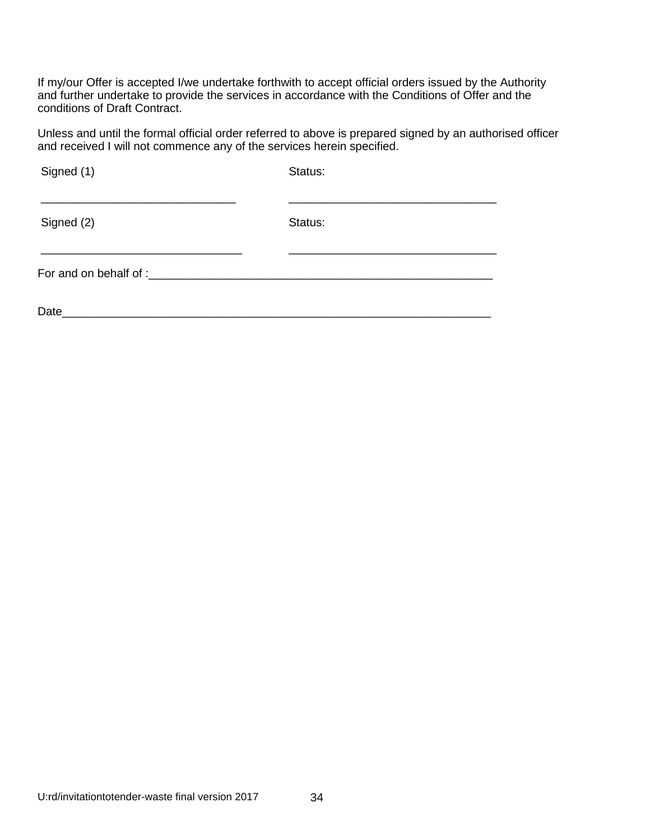If my/our Offer is accepted I/we undertake forthwith to accept official orders issued by the Authority and further undertake to provide the services in accordance with the Conditions of Offer and the conditions of Draft Contract.

Unless and until the formal official order referred to above is prepared signed by an authorised officer and received I will not commence any of the services herein specified.

| Signed (1)             | Status: |  |
|------------------------|---------|--|
| Signed (2)             | Status: |  |
| For and on behalf of : |         |  |
| Date                   |         |  |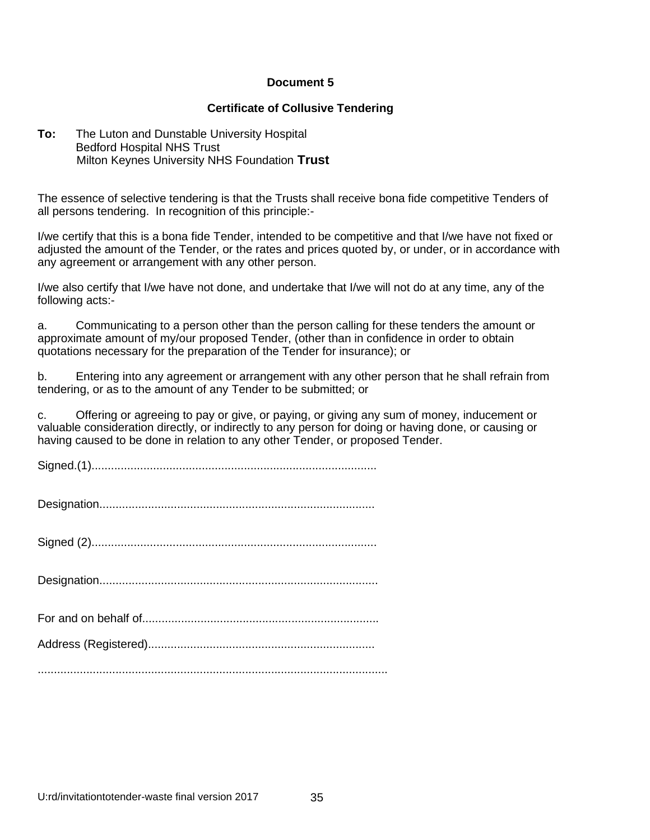#### **Certificate of Collusive Tendering**

#### **To:** The Luton and Dunstable University Hospital Bedford Hospital NHS Trust Milton Keynes University NHS Foundation **Trust**

The essence of selective tendering is that the Trusts shall receive bona fide competitive Tenders of all persons tendering. In recognition of this principle:-

I/we certify that this is a bona fide Tender, intended to be competitive and that I/we have not fixed or adjusted the amount of the Tender, or the rates and prices quoted by, or under, or in accordance with any agreement or arrangement with any other person.

I/we also certify that I/we have not done, and undertake that I/we will not do at any time, any of the following acts:-

a. Communicating to a person other than the person calling for these tenders the amount or approximate amount of my/our proposed Tender, (other than in confidence in order to obtain quotations necessary for the preparation of the Tender for insurance); or

b. Entering into any agreement or arrangement with any other person that he shall refrain from tendering, or as to the amount of any Tender to be submitted; or

c. Offering or agreeing to pay or give, or paying, or giving any sum of money, inducement or valuable consideration directly, or indirectly to any person for doing or having done, or causing or having caused to be done in relation to any other Tender, or proposed Tender.

Signed.(1)........................................................................................

Designation.....................................................................................

Signed (2)........................................................................................

Designation......................................................................................

............................................................................................................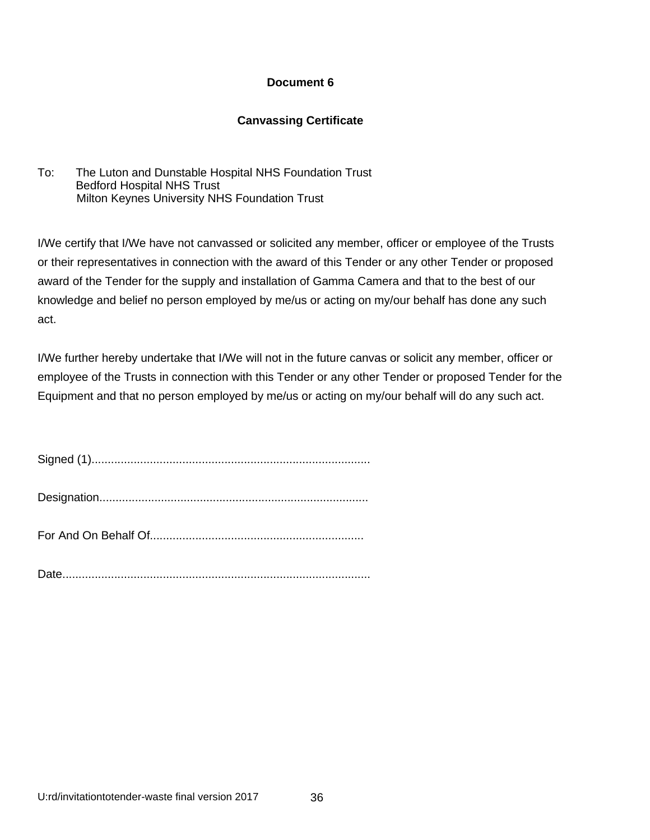#### **Canvassing Certificate**

To: The Luton and Dunstable Hospital NHS Foundation Trust Bedford Hospital NHS Trust Milton Keynes University NHS Foundation Trust

I/We certify that I/We have not canvassed or solicited any member, officer or employee of the Trusts or their representatives in connection with the award of this Tender or any other Tender or proposed award of the Tender for the supply and installation of Gamma Camera and that to the best of our knowledge and belief no person employed by me/us or acting on my/our behalf has done any such act.

I/We further hereby undertake that I/We will not in the future canvas or solicit any member, officer or employee of the Trusts in connection with this Tender or any other Tender or proposed Tender for the Equipment and that no person employed by me/us or acting on my/our behalf will do any such act.

| Sianed (1) |  |
|------------|--|
|            |  |

Date...............................................................................................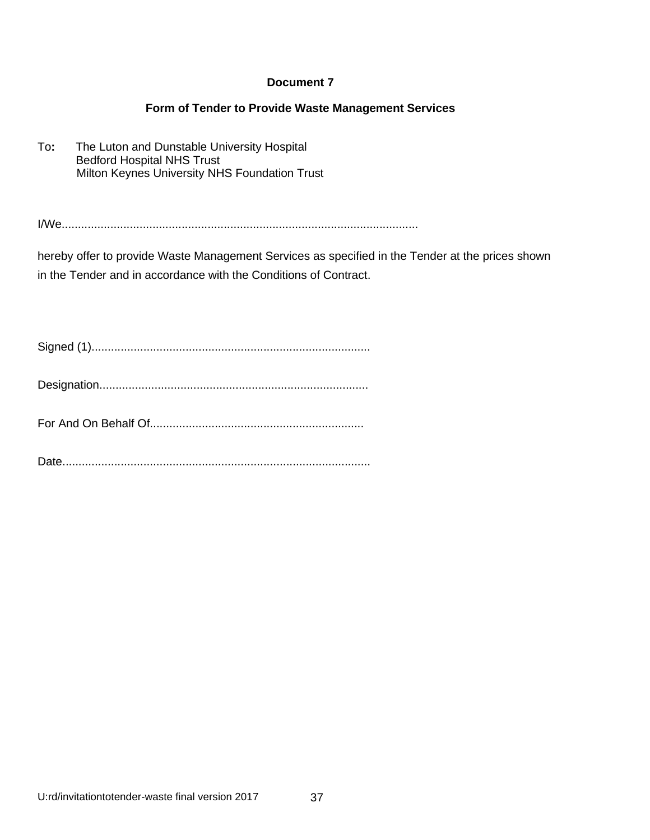#### **Form of Tender to Provide Waste Management Services**

To**:** The Luton and Dunstable University Hospital Bedford Hospital NHS Trust Milton Keynes University NHS Foundation Trust

I/We..............................................................................................................

hereby offer to provide Waste Management Services as specified in the Tender at the prices shown in the Tender and in accordance with the Conditions of Contract.

Signed (1)......................................................................................

Designation...................................................................................

For And On Behalf Of..................................................................

Date...............................................................................................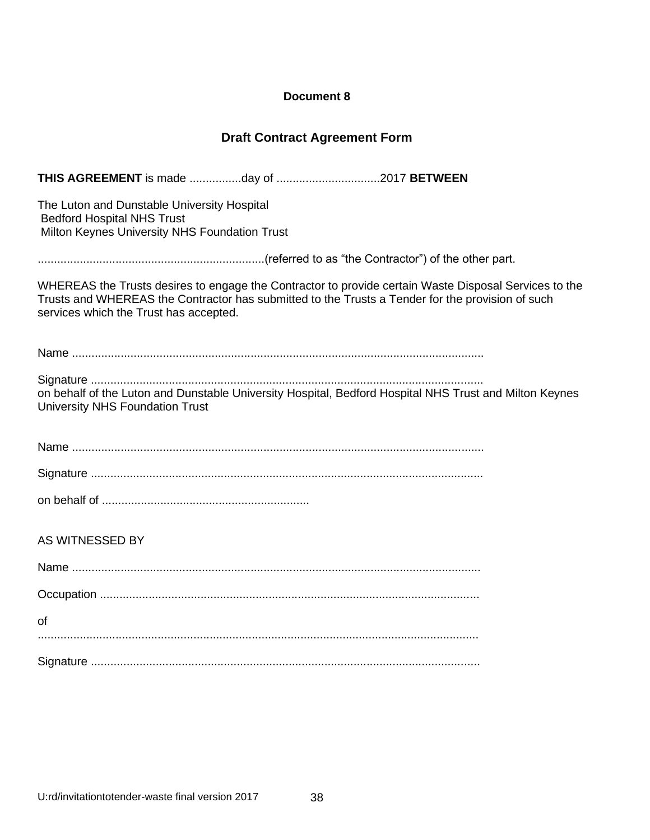# **Draft Contract Agreement Form**

| The Luton and Dunstable University Hospital<br><b>Bedford Hospital NHS Trust</b><br>Milton Keynes University NHS Foundation Trust                                                                                                                   |
|-----------------------------------------------------------------------------------------------------------------------------------------------------------------------------------------------------------------------------------------------------|
|                                                                                                                                                                                                                                                     |
| WHEREAS the Trusts desires to engage the Contractor to provide certain Waste Disposal Services to the<br>Trusts and WHEREAS the Contractor has submitted to the Trusts a Tender for the provision of such<br>services which the Trust has accepted. |
|                                                                                                                                                                                                                                                     |
| on behalf of the Luton and Dunstable University Hospital, Bedford Hospital NHS Trust and Milton Keynes<br><b>University NHS Foundation Trust</b>                                                                                                    |
|                                                                                                                                                                                                                                                     |
|                                                                                                                                                                                                                                                     |
|                                                                                                                                                                                                                                                     |
| AS WITNESSED BY                                                                                                                                                                                                                                     |
|                                                                                                                                                                                                                                                     |
|                                                                                                                                                                                                                                                     |
| οf                                                                                                                                                                                                                                                  |
|                                                                                                                                                                                                                                                     |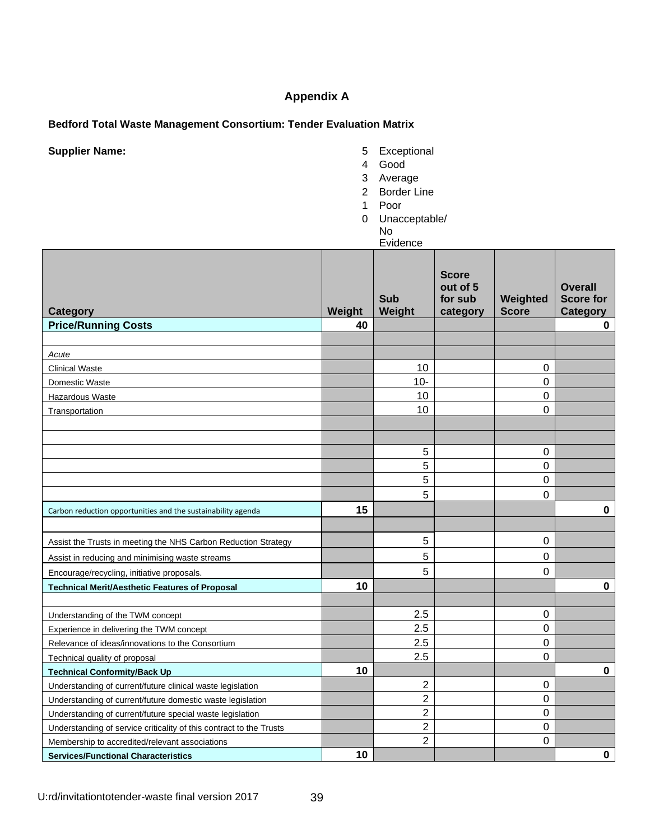# **Appendix A**

### **Bedford Total Waste Management Consortium: Tender Evaluation Matrix**

**Supplier Name: 5** Exceptional

- 
- 4 Good
- 3 Average
- 2 Border Line
- 1 Poor
- 0 Unacceptable/
	- No

| ≓vidence |
|----------|
|          |

| Category                                                            | Weight | Sub<br>Weight  | <b>Score</b><br>out of 5<br>for sub<br>category | Weighted<br><b>Score</b> | <b>Overall</b><br><b>Score for</b><br>Category |
|---------------------------------------------------------------------|--------|----------------|-------------------------------------------------|--------------------------|------------------------------------------------|
| <b>Price/Running Costs</b>                                          | 40     |                |                                                 |                          | 0                                              |
|                                                                     |        |                |                                                 |                          |                                                |
| Acute                                                               |        |                |                                                 |                          |                                                |
| <b>Clinical Waste</b>                                               |        | 10             |                                                 | 0                        |                                                |
| Domestic Waste                                                      |        | $10 -$         |                                                 | 0                        |                                                |
| Hazardous Waste                                                     |        | 10             |                                                 | 0                        |                                                |
| Transportation                                                      |        | 10             |                                                 | 0                        |                                                |
|                                                                     |        |                |                                                 |                          |                                                |
|                                                                     |        |                |                                                 |                          |                                                |
|                                                                     |        | 5<br>5         |                                                 | 0                        |                                                |
|                                                                     |        | 5              |                                                 | 0<br>0                   |                                                |
|                                                                     |        | 5              |                                                 |                          |                                                |
|                                                                     | 15     |                |                                                 | 0                        |                                                |
| Carbon reduction opportunities and the sustainability agenda        |        |                |                                                 |                          | $\mathbf 0$                                    |
|                                                                     |        |                |                                                 |                          |                                                |
| Assist the Trusts in meeting the NHS Carbon Reduction Strategy      |        | 5              |                                                 | 0                        |                                                |
| Assist in reducing and minimising waste streams                     |        | 5              |                                                 | 0                        |                                                |
| Encourage/recycling, initiative proposals.                          |        | 5              |                                                 | 0                        |                                                |
| <b>Technical Merit/Aesthetic Features of Proposal</b>               | 10     |                |                                                 |                          | $\mathbf 0$                                    |
|                                                                     |        |                |                                                 |                          |                                                |
| Understanding of the TWM concept                                    |        | 2.5            |                                                 | 0                        |                                                |
| Experience in delivering the TWM concept                            |        | 2.5            |                                                 | 0                        |                                                |
| Relevance of ideas/innovations to the Consortium                    |        | 2.5            |                                                 | 0                        |                                                |
| Technical quality of proposal                                       |        | 2.5            |                                                 | 0                        |                                                |
| <b>Technical Conformity/Back Up</b>                                 | 10     |                |                                                 |                          | $\pmb{0}$                                      |
| Understanding of current/future clinical waste legislation          |        | 2              |                                                 | 0                        |                                                |
| Understanding of current/future domestic waste legislation          |        | $\overline{2}$ |                                                 | 0                        |                                                |
| Understanding of current/future special waste legislation           |        | $\overline{2}$ |                                                 | 0                        |                                                |
| Understanding of service criticality of this contract to the Trusts |        | 2              |                                                 | 0                        |                                                |
| Membership to accredited/relevant associations                      |        | $\overline{2}$ |                                                 | 0                        |                                                |
| <b>Services/Functional Characteristics</b>                          | 10     |                |                                                 |                          | $\mathbf 0$                                    |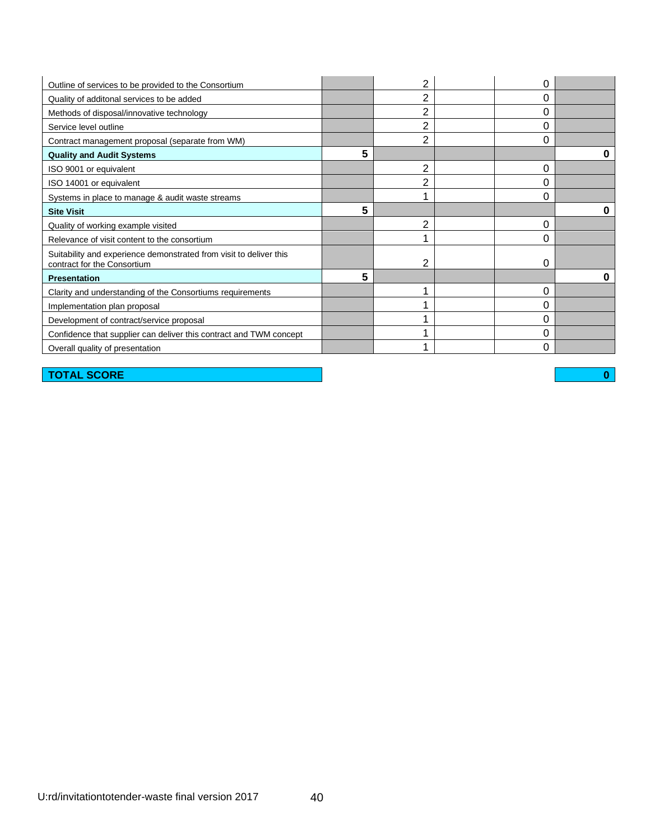| Outline of services to be provided to the Consortium                                              |   | 2              | 0 |  |
|---------------------------------------------------------------------------------------------------|---|----------------|---|--|
| Quality of additonal services to be added                                                         |   | 2              | 0 |  |
| Methods of disposal/innovative technology                                                         |   | 2              | 0 |  |
| Service level outline                                                                             |   | 2              | 0 |  |
| Contract management proposal (separate from WM)                                                   |   | $\overline{2}$ | 0 |  |
| <b>Quality and Audit Systems</b>                                                                  | 5 |                |   |  |
| ISO 9001 or equivalent                                                                            |   | 2              | 0 |  |
| ISO 14001 or equivalent                                                                           |   | 2              | 0 |  |
| Systems in place to manage & audit waste streams                                                  |   |                | 0 |  |
| <b>Site Visit</b>                                                                                 | 5 |                |   |  |
| Quality of working example visited                                                                |   | $\overline{2}$ | 0 |  |
| Relevance of visit content to the consortium                                                      |   |                | 0 |  |
| Suitability and experience demonstrated from visit to deliver this<br>contract for the Consortium |   | 2              | 0 |  |
| <b>Presentation</b>                                                                               | 5 |                |   |  |
| Clarity and understanding of the Consortiums requirements                                         |   |                | 0 |  |
| Implementation plan proposal                                                                      |   |                | 0 |  |
| Development of contract/service proposal                                                          |   |                | 0 |  |
| Confidence that supplier can deliver this contract and TWM concept                                |   |                | 0 |  |
| Overall quality of presentation                                                                   |   |                | 0 |  |

**TOTAL SCORE 0**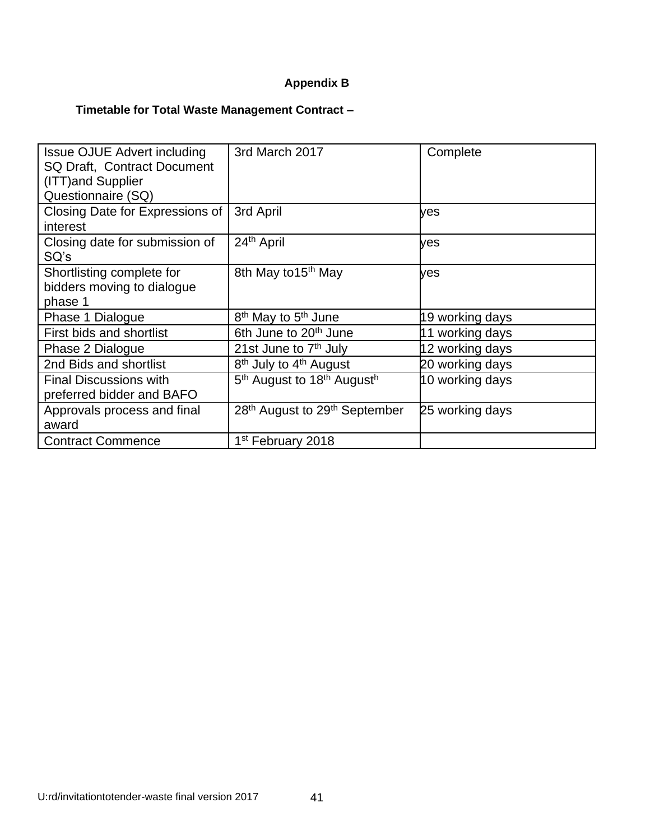# **Appendix B**

# **Timetable for Total Waste Management Contract –**

| <b>Issue OJUE Advert including</b><br>SQ Draft, Contract Document<br>(ITT) and Supplier<br>Questionnaire (SQ) | 3rd March 2017                                                 | Complete        |
|---------------------------------------------------------------------------------------------------------------|----------------------------------------------------------------|-----------------|
| Closing Date for Expressions of<br>interest                                                                   | 3rd April                                                      | yes             |
| Closing date for submission of<br>SQ's                                                                        | 24 <sup>th</sup> April                                         | yes             |
| Shortlisting complete for<br>bidders moving to dialogue<br>phase 1                                            | 8th May to 15 <sup>th</sup> May                                | ves             |
| Phase 1 Dialogue                                                                                              | 8 <sup>th</sup> May to 5 <sup>th</sup> June                    | 19 working days |
| First bids and shortlist                                                                                      | 6th June to 20 <sup>th</sup> June                              | 11 working days |
| Phase 2 Dialogue                                                                                              | 21st June to 7 <sup>th</sup> July                              | 12 working days |
| 2nd Bids and shortlist                                                                                        | 8 <sup>th</sup> July to 4 <sup>th</sup> August                 | 20 working days |
| <b>Final Discussions with</b><br>preferred bidder and BAFO                                                    | 5 <sup>th</sup> August to 18 <sup>th</sup> August <sup>h</sup> | 10 working days |
| Approvals process and final<br>award                                                                          | 28 <sup>th</sup> August to 29 <sup>th</sup> September          | 25 working days |
| <b>Contract Commence</b>                                                                                      | 1 <sup>st</sup> February 2018                                  |                 |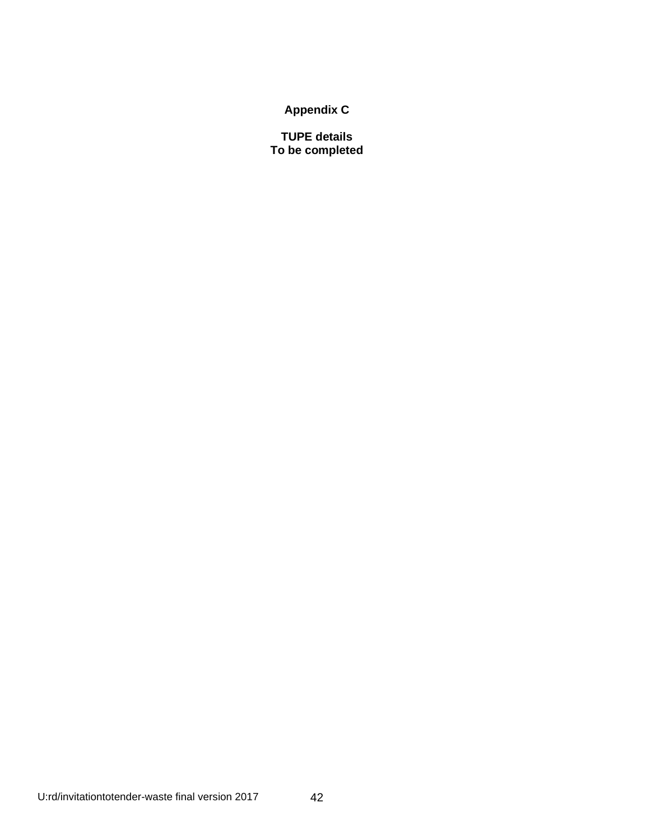**Appendix C**

**TUPE details To be completed**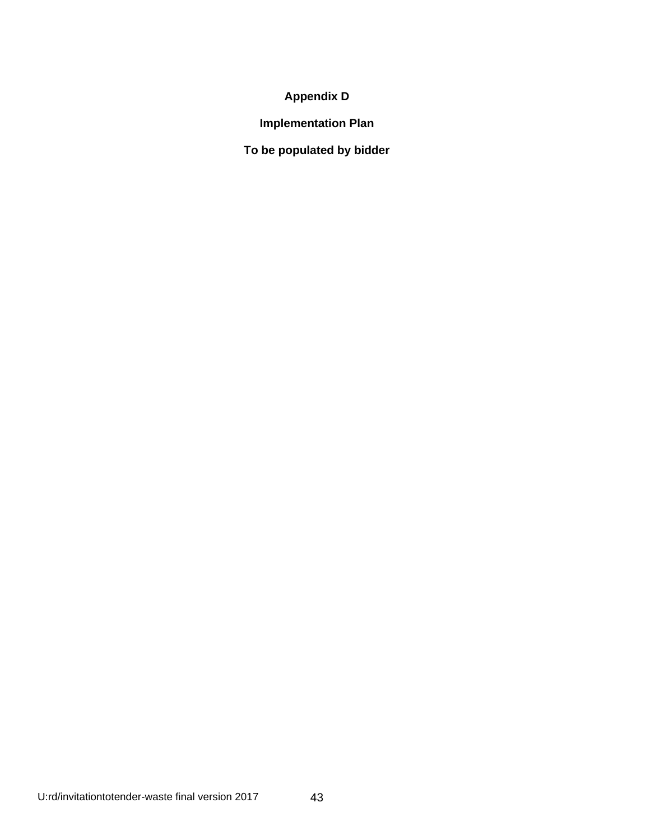# **Appendix D**

**Implementation Plan**

**To be populated by bidder**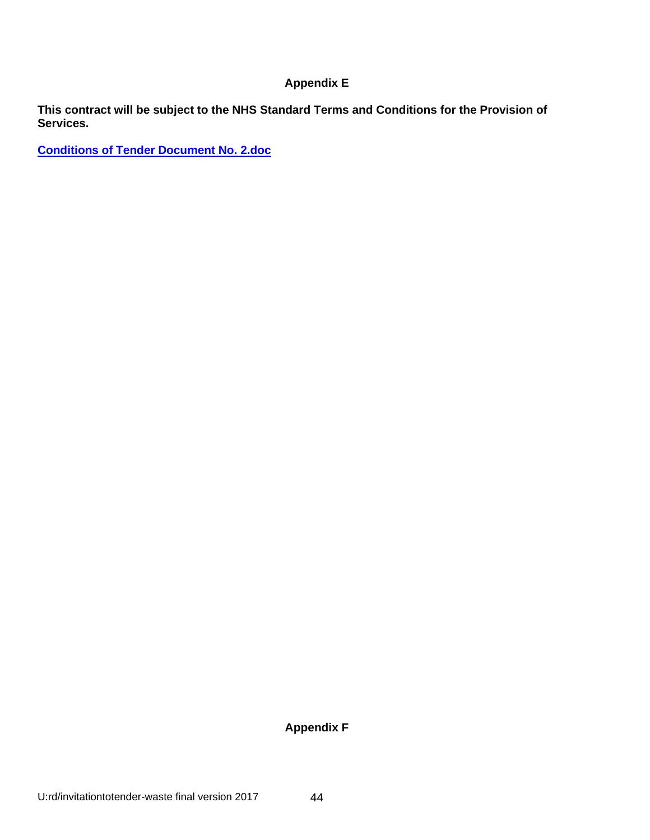# **Appendix E**

**This contract will be subject to the NHS Standard Terms and Conditions for the Provision of Services.** 

**[Conditions of Tender Document No. 2.doc](file:///C:/Users/tdevine/AppData/Local/Microsoft/Windows/Temporary%20Internet%20Files/Content.Outlook/39Z9PK2D/Conditions%20of%20Tender%20Document%20No.%202.doc)**

**Appendix F**